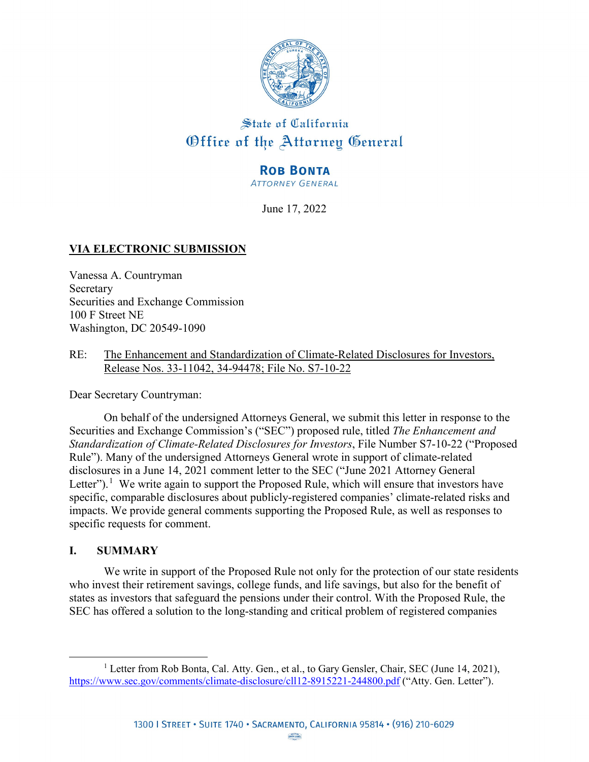

# State of California Office of the Attorney General

# **ROB BONTA**

**ATTORNEY GENERAL** 

June 17, 2022

# **VIA ELECTRONIC SUBMISSION**

Vanessa A. Countryman Secretary Securities and Exchange Commission 100 F Street NE Washington, DC 20549-1090

RE: The Enhancement and Standardization of Climate-Related Disclosures for Investors, Release Nos. 33-11042, 34-94478; File No. S7-10-22

Dear Secretary Countryman:

On behalf of the undersigned Attorneys General, we submit this letter in response to the Securities and Exchange Commission's ("SEC") proposed rule, titled *The Enhancement and Standardization of Climate-Related Disclosures for Investors*, File Number S7-10-22 ("Proposed Rule"). Many of the undersigned Attorneys General wrote in support of climate-related disclosures in a June 14, 2021 comment letter to the SEC ("June 2021 Attorney General Letter").<sup>[1](#page-0-0)</sup> We write again to support the Proposed Rule, which will ensure that investors have specific, comparable disclosures about publicly-registered companies' climate-related risks and impacts. We provide general comments supporting the Proposed Rule, as well as responses to specific requests for comment.

## **I. SUMMARY**

 $\overline{a}$ 

We write in support of the Proposed Rule not only for the protection of our state residents who invest their retirement savings, college funds, and life savings, but also for the benefit of states as investors that safeguard the pensions under their control. With the Proposed Rule, the SEC has offered a solution to the long-standing and critical problem of registered companies

<span id="page-0-0"></span><sup>&</sup>lt;sup>1</sup> Letter from Rob Bonta, Cal. Atty. Gen., et al., to Gary Gensler, Chair, SEC (June 14, 2021), <https://www.sec.gov/comments/climate-disclosure/cll12-8915221-244800.pdf>("Atty. Gen. Letter").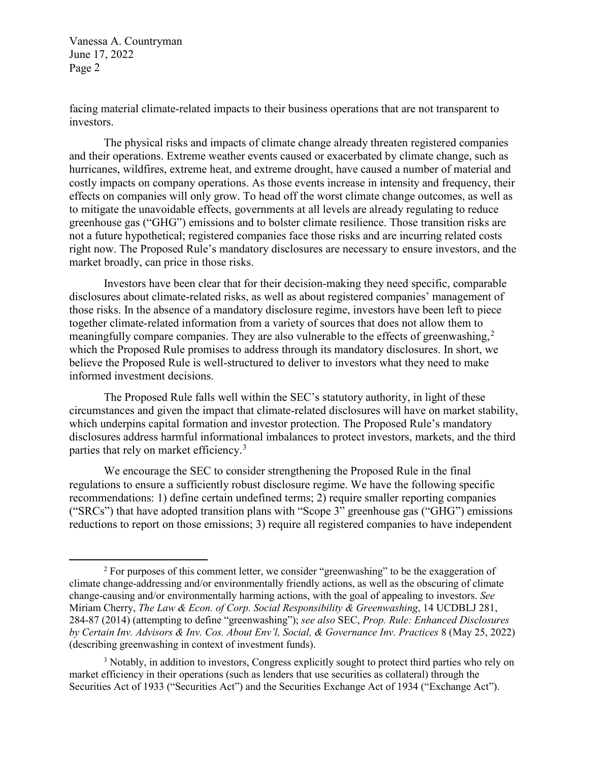$\overline{a}$ 

facing material climate-related impacts to their business operations that are not transparent to investors.

The physical risks and impacts of climate change already threaten registered companies and their operations. Extreme weather events caused or exacerbated by climate change, such as hurricanes, wildfires, extreme heat, and extreme drought, have caused a number of material and costly impacts on company operations. As those events increase in intensity and frequency, their effects on companies will only grow. To head off the worst climate change outcomes, as well as to mitigate the unavoidable effects, governments at all levels are already regulating to reduce greenhouse gas ("GHG") emissions and to bolster climate resilience. Those transition risks are not a future hypothetical; registered companies face those risks and are incurring related costs right now. The Proposed Rule's mandatory disclosures are necessary to ensure investors, and the market broadly, can price in those risks.

Investors have been clear that for their decision-making they need specific, comparable disclosures about climate-related risks, as well as about registered companies' management of those risks. In the absence of a mandatory disclosure regime, investors have been left to piece together climate-related information from a variety of sources that does not allow them to meaningfully compare companies. They are also vulnerable to the effects of greenwashing,<sup>[2](#page-1-0)</sup> which the Proposed Rule promises to address through its mandatory disclosures. In short, we believe the Proposed Rule is well-structured to deliver to investors what they need to make informed investment decisions.

The Proposed Rule falls well within the SEC's statutory authority, in light of these circumstances and given the impact that climate-related disclosures will have on market stability, which underpins capital formation and investor protection. The Proposed Rule's mandatory disclosures address harmful informational imbalances to protect investors, markets, and the third parties that rely on market efficiency.<sup>[3](#page-1-1)</sup>

We encourage the SEC to consider strengthening the Proposed Rule in the final regulations to ensure a sufficiently robust disclosure regime. We have the following specific recommendations: 1) define certain undefined terms; 2) require smaller reporting companies ("SRCs") that have adopted transition plans with "Scope 3" greenhouse gas ("GHG") emissions reductions to report on those emissions; 3) require all registered companies to have independent

<span id="page-1-0"></span> $2$  For purposes of this comment letter, we consider "greenwashing" to be the exaggeration of climate change-addressing and/or environmentally friendly actions, as well as the obscuring of climate change-causing and/or environmentally harming actions, with the goal of appealing to investors. *See*  Miriam Cherry, *The Law & Econ. of Corp. Social Responsibility & Greenwashing*, 14 UCDBLJ 281, 284-87 (2014) (attempting to define "greenwashing"); *see also* SEC, *Prop. Rule: Enhanced Disclosures by Certain Inv. Advisors & Inv. Cos. About Env'l, Social, & Governance Inv. Practices* 8 (May 25, 2022) (describing greenwashing in context of investment funds).

<span id="page-1-1"></span><sup>&</sup>lt;sup>3</sup> Notably, in addition to investors, Congress explicitly sought to protect third parties who rely on market efficiency in their operations (such as lenders that use securities as collateral) through the Securities Act of 1933 ("Securities Act") and the Securities Exchange Act of 1934 ("Exchange Act").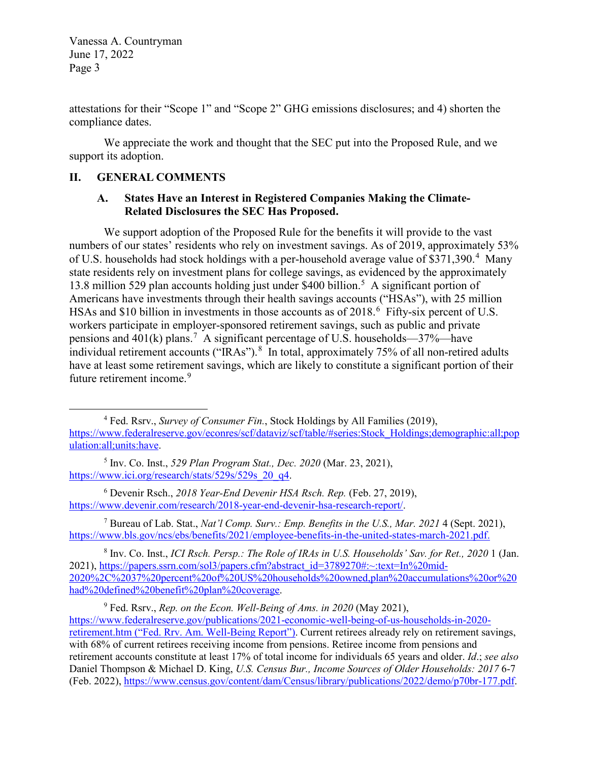attestations for their "Scope 1" and "Scope 2" GHG emissions disclosures; and 4) shorten the compliance dates.

We appreciate the work and thought that the SEC put into the Proposed Rule, and we support its adoption.

#### **II. GENERAL COMMENTS**

 $\overline{a}$ 

#### **A. States Have an Interest in Registered Companies Making the Climate-Related Disclosures the SEC Has Proposed.**

We support adoption of the Proposed Rule for the benefits it will provide to the vast numbers of our states' residents who rely on investment savings. As of 2019, approximately 53% of U.S. households had stock holdings with a per-household average value of \$371,390.<sup>[4](#page-2-0)</sup> Many state residents rely on investment plans for college savings, as evidenced by the approximately 13.8 million [5](#page-2-1)29 plan accounts holding just under \$400 billion.<sup>5</sup> A significant portion of Americans have investments through their health savings accounts ("HSAs"), with 25 million HSAs and \$10 billion in investments in those accounts as of  $2018.6$  $2018.6$  Fifty-six percent of U.S. workers participate in employer-sponsored retirement savings, such as public and private pensions and 401 $(k)$  plans.<sup>[7](#page-2-3)</sup> A significant percentage of U.S. households—37%—have individual retirement accounts ("IRAs"). <sup>[8](#page-2-4)</sup> In total, approximately 75% of all non-retired adults have at least some retirement savings, which are likely to constitute a significant portion of their future retirement income.<sup>[9](#page-2-5)</sup>

<span id="page-2-3"></span>7 Bureau of Lab. Stat., *Nat'l Comp. Surv.: Emp. Benefits in the U.S., Mar. 2021* 4 (Sept. 2021), [https://www.bls.gov/ncs/ebs/benefits/2021/employee-benefits-in-the-united-states-march-2021.pdf.](https://www.bls.gov/ncs/ebs/benefits/2021/employee-benefits-in-the-united-states-march-2021.pdf)

<span id="page-2-4"></span>8 Inv. Co. Inst., *ICI Rsch. Persp.: The Role of IRAs in U.S. Households' Sav. for Ret., 2020* 1 (Jan. 2021), [https://papers.ssrn.com/sol3/papers.cfm?abstract\\_id=3789270#:~:text=In%20mid-](https://papers.ssrn.com/sol3/papers.cfm?abstract_id=3789270#:%7E:text=In%20mid-2020%2C%2037%20percent%20of%20US%20households%20owned,plan%20accumulations%20or%20had%20defined%20benefit%20plan%20coverage.)[2020%2C%2037%20percent%20of%20US%20households%20owned,plan%20accumulations%20or%20](https://papers.ssrn.com/sol3/papers.cfm?abstract_id=3789270#:%7E:text=In%20mid-2020%2C%2037%20percent%20of%20US%20households%20owned,plan%20accumulations%20or%20had%20defined%20benefit%20plan%20coverage.) [had%20defined%20benefit%20plan%20coverage.](https://papers.ssrn.com/sol3/papers.cfm?abstract_id=3789270#:%7E:text=In%20mid-2020%2C%2037%20percent%20of%20US%20households%20owned,plan%20accumulations%20or%20had%20defined%20benefit%20plan%20coverage.)

<span id="page-2-0"></span><sup>&</sup>lt;sup>4</sup> Fed. Rsrv., *Survey of Consumer Fin.*, Stock Holdings by All Families (2019), [https://www.federalreserve.gov/econres/scf/dataviz/scf/table/#series:Stock\\_Holdings;demographic:all;pop](https://www.federalreserve.gov/econres/scf/dataviz/scf/table/#series:Stock_Holdings;demographic:all;population:all;units:have) [ulation:all;units:have.](https://www.federalreserve.gov/econres/scf/dataviz/scf/table/#series:Stock_Holdings;demographic:all;population:all;units:have)

<span id="page-2-1"></span><sup>5</sup> Inv. Co. Inst., *529 Plan Program Stat., Dec. 2020* (Mar. 23, 2021), [https://www.ici.org/research/stats/529s/529s\\_20\\_q4.](https://www.ici.org/research/stats/529s/529s_20_q4)

<span id="page-2-2"></span><sup>6</sup> Devenir Rsch., *2018 Year-End Devenir HSA Rsch. Rep.* (Feb. 27, 2019), [https://www.devenir.com/research/2018-year-end-devenir-hsa-research-report/.](https://www.devenir.com/research/2018-year-end-devenir-hsa-research-report/)

<span id="page-2-5"></span><sup>9</sup> Fed. Rsrv., *Rep. on the Econ. Well-Being of Ams. in 2020* (May 2021), [https://www.federalreserve.gov/publications/2021-economic-well-being-of-us-households-in-2020](https://www.federalreserve.gov/publications/2021-economic-well-being-of-us-households-in-2020-retirement.htm) [retirement.htm](https://www.federalreserve.gov/publications/2021-economic-well-being-of-us-households-in-2020-retirement.htm) ("Fed. Rrv. Am. Well-Being Report"). Current retirees already rely on retirement savings, with 68% of current retirees receiving income from pensions. Retiree income from pensions and retirement accounts constitute at least 17% of total income for individuals 65 years and older. *Id*.; *see also*  Daniel Thompson & Michael D. King, *U.S. Census Bur., Income Sources of Older Households: 2017* 6-7 (Feb. 2022), [https://www.census.gov/content/dam/Census/library/publications/2022/demo/p70br-177.pdf.](https://www.census.gov/content/dam/Census/library/publications/2022/demo/p70br-177.pdf)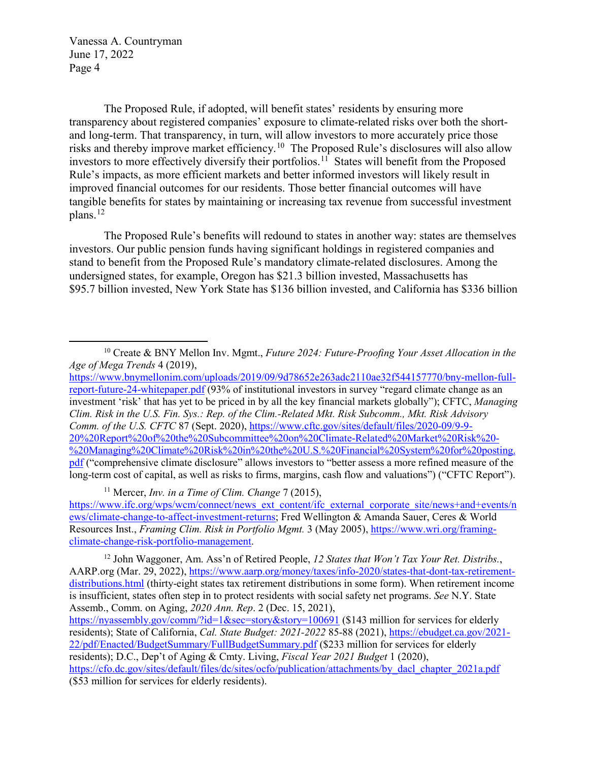$\overline{a}$ 

The Proposed Rule, if adopted, will benefit states' residents by ensuring more transparency about registered companies' exposure to climate-related risks over both the shortand long-term. That transparency, in turn, will allow investors to more accurately price those risks and thereby improve market efficiency.[10](#page-3-0) The Proposed Rule's disclosures will also allow investors to more effectively diversify their portfolios.<sup>11</sup> States will benefit from the Proposed Rule's impacts, as more efficient markets and better informed investors will likely result in improved financial outcomes for our residents. Those better financial outcomes will have tangible benefits for states by maintaining or increasing tax revenue from successful investment  $plane.$ <sup>12</sup>

The Proposed Rule's benefits will redound to states in another way: states are themselves investors. Our public pension funds having significant holdings in registered companies and stand to benefit from the Proposed Rule's mandatory climate-related disclosures. Among the undersigned states, for example, Oregon has \$21.3 billion invested, Massachusetts has \$95.7 billion invested, New York State has \$136 billion invested, and California has \$336 billion

<sup>11</sup> Mercer, *Inv. in a Time of Clim. Change* 7 (2015),

<span id="page-3-1"></span>[https://www.ifc.org/wps/wcm/connect/news\\_ext\\_content/ifc\\_external\\_corporate\\_site/news+and+events/n](https://www.ifc.org/wps/wcm/connect/news_ext_content/ifc_external_corporate_site/news+and+events/news/climate-change-to-affect-investment-returns) [ews/climate-change-to-affect-investment-returns;](https://www.ifc.org/wps/wcm/connect/news_ext_content/ifc_external_corporate_site/news+and+events/news/climate-change-to-affect-investment-returns) Fred Wellington & Amanda Sauer, Ceres & World Resources Inst., *Framing Clim. Risk in Portfolio Mgmt.* 3 (May 2005), [https://www.wri.org/framing](https://www.wri.org/framing-climate-change-risk-portfolio-management)[climate-change-risk-portfolio-management.](https://www.wri.org/framing-climate-change-risk-portfolio-management)

<span id="page-3-2"></span>12 John Waggoner, Am. Ass'n of Retired People, *12 States that Won't Tax Your Ret. Distribs.*, AARP.org (Mar. 29, 2022)[, https://www.aarp.org/money/taxes/info-2020/states-that-dont-tax-retirement](https://www.aarp.org/money/taxes/info-2020/states-that-dont-tax-retirement-distributions.html)[distributions.html](https://www.aarp.org/money/taxes/info-2020/states-that-dont-tax-retirement-distributions.html) (thirty-eight states tax retirement distributions in some form). When retirement income is insufficient, states often step in to protect residents with social safety net programs. *See* N.Y. State Assemb., Comm. on Aging, *2020 Ann. Rep*. 2 (Dec. 15, 2021),

<https://nyassembly.gov/comm/?id=1&sec=story&story=100691>(\$143 million for services for elderly residents); State of California, *Cal. State Budget: 2021-2022* 85-88 (2021), [https://ebudget.ca.gov/2021-](https://ebudget.ca.gov/2021-22/pdf/Enacted/BudgetSummary/FullBudgetSummary.pdf) [22/pdf/Enacted/BudgetSummary/FullBudgetSummary.pdf](https://ebudget.ca.gov/2021-22/pdf/Enacted/BudgetSummary/FullBudgetSummary.pdf) (\$233 million for services for elderly residents); D.C., Dep't of Aging & Cmty. Living, *Fiscal Year 2021 Budget* 1 (2020), [https://cfo.dc.gov/sites/default/files/dc/sites/ocfo/publication/attachments/by\\_dacl\\_chapter\\_2021a.pdf](https://cfo.dc.gov/sites/default/files/dc/sites/ocfo/publication/attachments/by_dacl_chapter_2021a.pdf) (\$53 million for services for elderly residents).

<span id="page-3-0"></span><sup>&</sup>lt;sup>10</sup> Create & BNY Mellon Inv. Mgmt., *Future 2024: Future-Proofing Your Asset Allocation in the Age of Mega Trends* 4 (2019),

[https://www.bnymellonim.com/uploads/2019/09/9d78652e263adc2110ae32f544157770/bny-mellon-full](https://www.bnymellonim.com/uploads/2019/09/9d78652e263adc2110ae32f544157770/bny-mellon-full-report-future-24-whitepaper.pdf)[report-future-24-whitepaper.pdf](https://www.bnymellonim.com/uploads/2019/09/9d78652e263adc2110ae32f544157770/bny-mellon-full-report-future-24-whitepaper.pdf) (93% of institutional investors in survey "regard climate change as an investment 'risk' that has yet to be priced in by all the key financial markets globally"); CFTC, *Managing Clim. Risk in the U.S. Fin. Sys.: Rep. of the Clim.-Related Mkt. Risk Subcomm., Mkt. Risk Advisory Comm. of the U.S. CFTC* 87 (Sept. 2020), [https://www.cftc.gov/sites/default/files/2020-09/9-9-](https://www.cftc.gov/sites/default/files/2020-09/9-9-20%20Report%20of%20the%20Subcommittee%20on%20Climate-Related%20Market%20Risk%20-%20Managing%20Climate%20Risk%20in%20the%20U.S.%20Financial%20System%20for%20posting.pdf) [20%20Report%20of%20the%20Subcommittee%20on%20Climate-Related%20Market%20Risk%20-](https://www.cftc.gov/sites/default/files/2020-09/9-9-20%20Report%20of%20the%20Subcommittee%20on%20Climate-Related%20Market%20Risk%20-%20Managing%20Climate%20Risk%20in%20the%20U.S.%20Financial%20System%20for%20posting.pdf) [%20Managing%20Climate%20Risk%20in%20the%20U.S.%20Financial%20System%20for%20posting.](https://www.cftc.gov/sites/default/files/2020-09/9-9-20%20Report%20of%20the%20Subcommittee%20on%20Climate-Related%20Market%20Risk%20-%20Managing%20Climate%20Risk%20in%20the%20U.S.%20Financial%20System%20for%20posting.pdf) [pdf](https://www.cftc.gov/sites/default/files/2020-09/9-9-20%20Report%20of%20the%20Subcommittee%20on%20Climate-Related%20Market%20Risk%20-%20Managing%20Climate%20Risk%20in%20the%20U.S.%20Financial%20System%20for%20posting.pdf) ("comprehensive climate disclosure" allows investors to "better assess a more refined measure of the long-term cost of capital, as well as risks to firms, margins, cash flow and valuations") ("CFTC Report").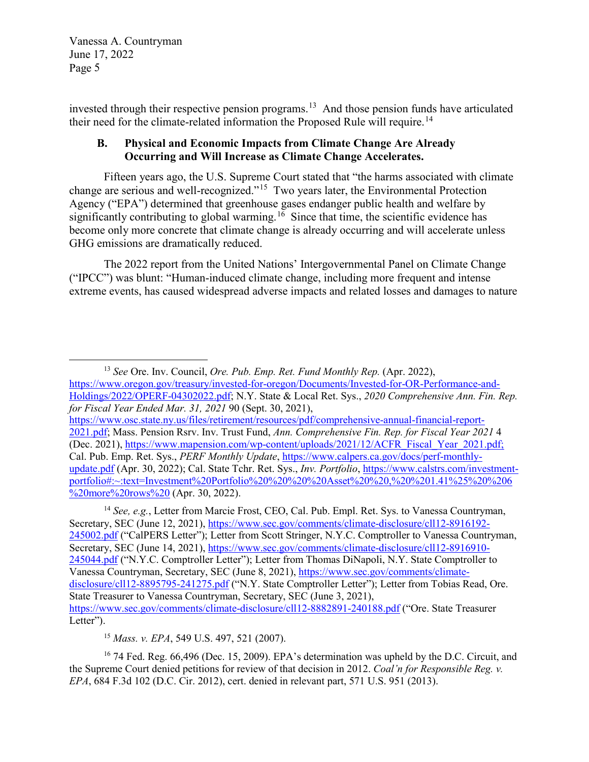$\overline{a}$ 

invested through their respective pension programs.[13](#page-4-0) And those pension funds have articulated their need for the climate-related information the Proposed Rule will require.<sup>[14](#page-4-1)</sup>

## **B. Physical and Economic Impacts from Climate Change Are Already Occurring and Will Increase as Climate Change Accelerates.**

Fifteen years ago, the U.S. Supreme Court stated that "the harms associated with climate change are serious and well-recognized."[15](#page-4-2) Two years later, the Environmental Protection Agency ("EPA") determined that greenhouse gases endanger public health and welfare by significantly contributing to global warming.<sup>[16](#page-4-3)</sup> Since that time, the scientific evidence has become only more concrete that climate change is already occurring and will accelerate unless GHG emissions are dramatically reduced.

The 2022 report from the United Nations' Intergovernmental Panel on Climate Change ("IPCC") was blunt: "Human-induced climate change, including more frequent and intense extreme events, has caused widespread adverse impacts and related losses and damages to nature

<span id="page-4-1"></span><sup>14</sup> *See, e.g.*, Letter from Marcie Frost, CEO, Cal. Pub. Empl. Ret. Sys. to Vanessa Countryman, Secretary, SEC (June 12, 2021), [https://www.sec.gov/comments/climate-disclosure/cll12-8916192-](https://www.sec.gov/comments/climate-disclosure/cll12-8916192-245002.pdf) [245002.pdf](https://www.sec.gov/comments/climate-disclosure/cll12-8916192-245002.pdf) ("CalPERS Letter"); Letter from Scott Stringer, N.Y.C. Comptroller to Vanessa Countryman, Secretary, SEC (June 14, 2021), [https://www.sec.gov/comments/climate-disclosure/cll12-8916910-](https://www.sec.gov/comments/climate-disclosure/cll12-8916910-245044.pdf) [245044.pdf](https://www.sec.gov/comments/climate-disclosure/cll12-8916910-245044.pdf) ("N.Y.C. Comptroller Letter"); Letter from Thomas DiNapoli, N.Y. State Comptroller to Vanessa Countryman, Secretary, SEC (June 8, 2021), [https://www.sec.gov/comments/climate](https://www.sec.gov/comments/climate-disclosure/cll12-8895795-241275.pdf)[disclosure/cll12-8895795-241275.pdf](https://www.sec.gov/comments/climate-disclosure/cll12-8895795-241275.pdf) ("N.Y. State Comptroller Letter"); Letter from Tobias Read, Ore. State Treasurer to Vanessa Countryman, Secretary, SEC (June 3, 2021), <https://www.sec.gov/comments/climate-disclosure/cll12-8882891-240188.pdf> ("Ore. State Treasurer Letter").

<sup>15</sup> *Mass. v. EPA*, 549 U.S. 497, 521 (2007).

<span id="page-4-3"></span><span id="page-4-2"></span><sup>16</sup> 74 Fed. Reg. 66,496 (Dec. 15, 2009). EPA's determination was upheld by the D.C. Circuit, and the Supreme Court denied petitions for review of that decision in 2012. *Coal'n for Responsible Reg. v. EPA*, 684 F.3d 102 (D.C. Cir. 2012), cert. denied in relevant part, 571 U.S. 951 (2013).

<span id="page-4-0"></span><sup>13</sup> *See* Ore. Inv. Council, *Ore. Pub. Emp. Ret. Fund Monthly Rep.* (Apr. 2022), [https://www.oregon.gov/treasury/invested-for-oregon/Documents/Invested-for-OR-Performance-and-](https://www.oregon.gov/treasury/invested-for-oregon/Documents/Invested-for-OR-Performance-and-Holdings/2022/OPERF-04302022.pdf)[Holdings/2022/OPERF-04302022.pdf;](https://www.oregon.gov/treasury/invested-for-oregon/Documents/Invested-for-OR-Performance-and-Holdings/2022/OPERF-04302022.pdf) N.Y. State & Local Ret. Sys., *2020 Comprehensive Ann. Fin. Rep. for Fiscal Year Ended Mar. 31, 2021* 90 (Sept. 30, 2021),

[https://www.osc.state.ny.us/files/retirement/resources/pdf/comprehensive-annual-financial-report-](https://www.osc.state.ny.us/files/retirement/resources/pdf/comprehensive-annual-financial-report-2021.pdf)[2021.pdf;](https://www.osc.state.ny.us/files/retirement/resources/pdf/comprehensive-annual-financial-report-2021.pdf) Mass. Pension Rsrv. Inv. Trust Fund, *Ann. Comprehensive Fin. Rep. for Fiscal Year 2021* 4 (Dec. 2021), [https://www.mapension.com/wp-content/uploads/2021/12/ACFR\\_Fiscal\\_Year\\_2021.pdf;](https://www.mapension.com/wp-content/uploads/2021/12/ACFR_Fiscal_Year_2021.pdf) Cal. Pub. Emp. Ret. Sys., *PERF Monthly Update*, [https://www.calpers.ca.gov/docs/perf-monthly](https://www.calpers.ca.gov/docs/perf-monthly-update.pdf)[update.pdf](https://www.calpers.ca.gov/docs/perf-monthly-update.pdf) (Apr. 30, 2022); Cal. State Tchr. Ret. Sys., *Inv. Portfolio*, [https://www.calstrs.com/investment](https://www.calstrs.com/investment-portfolio#:%7E:text=Investment%20Portfolio%20%20%20%20Asset%20%20,%20%201.41%25%20%206%20more%20rows%20)[portfolio#:~:text=Investment%20Portfolio%20%20%20%20Asset%20%20,%20%201.41%25%20%206](https://www.calstrs.com/investment-portfolio#:%7E:text=Investment%20Portfolio%20%20%20%20Asset%20%20,%20%201.41%25%20%206%20more%20rows%20)  $\frac{6}{20}$ more%20rows%20 (Apr. 30, 2022).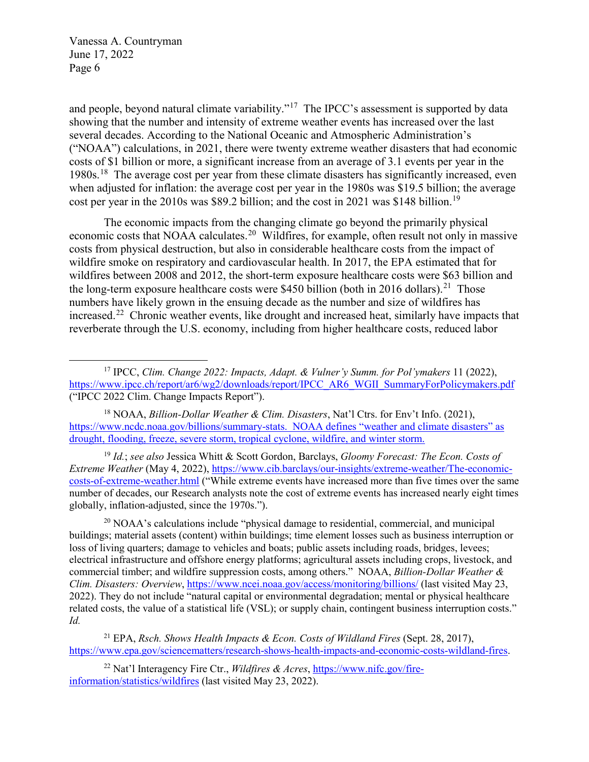$\overline{a}$ 

and people, beyond natural climate variability."<sup>17</sup> The IPCC's assessment is supported by data showing that the number and intensity of extreme weather events has increased over the last several decades. According to the National Oceanic and Atmospheric Administration's ("NOAA") calculations, in 2021, there were twenty extreme weather disasters that had economic costs of \$1 billion or more, a significant increase from an average of 3.1 events per year in the 1980s.[18](#page-5-1) The average cost per year from these climate disasters has significantly increased, even when adjusted for inflation: the average cost per year in the 1980s was \$19.5 billion; the average cost per year in the 2010s was \$89.2 billion; and the cost in 2021 was \$148 billion.<sup>19</sup>

The economic impacts from the changing climate go beyond the primarily physical economic costs that NOAA calculates.<sup>[20](#page-5-3)</sup> Wildfires, for example, often result not only in massive costs from physical destruction, but also in considerable healthcare costs from the impact of wildfire smoke on respiratory and cardiovascular health. In 2017, the EPA estimated that for wildfires between 2008 and 2012, the short-term exposure healthcare costs were \$63 billion and the long-term exposure healthcare costs were \$450 billion (both in 2016 dollars).<sup>[21](#page-5-4)</sup> Those numbers have likely grown in the ensuing decade as the number and size of wildfires has increased.[22](#page-5-5) Chronic weather events, like drought and increased heat, similarly have impacts that reverberate through the U.S. economy, including from higher healthcare costs, reduced labor

<span id="page-5-2"></span><sup>19</sup> *Id.*; *see also* Jessica Whitt & Scott Gordon, Barclays, *Gloomy Forecast: The Econ. Costs of Extreme Weather* (May 4, 2022), [https://www.cib.barclays/our-insights/extreme-weather/The-economic](https://www.cib.barclays/our-insights/extreme-weather/The-economic-costs-of-extreme-weather.html)[costs-of-extreme-weather.html](https://www.cib.barclays/our-insights/extreme-weather/The-economic-costs-of-extreme-weather.html) ("While extreme events have increased more than five times over the same number of decades, our Research analysts note the cost of extreme events has increased nearly eight times globally, inflation-adjusted, since the 1970s.").

<span id="page-5-3"></span> $^{20}$  NOAA's calculations include "physical damage to residential, commercial, and municipal buildings; material assets (content) within buildings; time element losses such as business interruption or loss of living quarters; damage to vehicles and boats; public assets including roads, bridges, levees; electrical infrastructure and offshore energy platforms; agricultural assets including crops, livestock, and commercial timber; and wildfire suppression costs, among others." NOAA, *Billion-Dollar Weather & Clim. Disasters: Overview*,<https://www.ncei.noaa.gov/access/monitoring/billions/>(last visited May 23, 2022). They do not include "natural capital or environmental degradation; mental or physical healthcare related costs, the value of a statistical life (VSL); or supply chain, contingent business interruption costs." *Id.*

<span id="page-5-4"></span><sup>21</sup> EPA, *Rsch. Shows Health Impacts & Econ. Costs of Wildland Fires* (Sept. 28, 2017), [https://www.epa.gov/sciencematters/research-shows-health-impacts-and-economic-costs-wildland-fires.](https://www.epa.gov/sciencematters/research-shows-health-impacts-and-economic-costs-wildland-fires)

<span id="page-5-5"></span><sup>22</sup> Nat'l Interagency Fire Ctr., *Wildfires & Acres*, [https://www.nifc.gov/fire](https://www.nifc.gov/fire-information/statistics/wildfires)[information/statistics/wildfires](https://www.nifc.gov/fire-information/statistics/wildfires) (last visited May 23, 2022).

<span id="page-5-0"></span><sup>17</sup> IPCC, *Clim. Change 2022: Impacts, Adapt. & Vulner'y Summ. for Pol'ymakers* 11 (2022), [https://www.ipcc.ch/report/ar6/wg2/downloads/report/IPCC\\_AR6\\_WGII\\_SummaryForPolicymakers.pdf](https://www.ipcc.ch/report/ar6/wg2/downloads/report/IPCC_AR6_WGII_SummaryForPolicymakers.pdf) ("IPCC 2022 Clim. Change Impacts Report").

<span id="page-5-1"></span><sup>18</sup> NOAA, *Billion-Dollar Weather & Clim. Disasters*, Nat'l Ctrs. for Env't Info. (2021), [https://www.ncdc.noaa.gov/billions/summary-stats.](https://www.ncdc.noaa.gov/billions/summary-stats) NOAA defines "weather and climate disasters" as drought, flooding, freeze, severe storm, tropical cyclone, wildfire, and winter storm.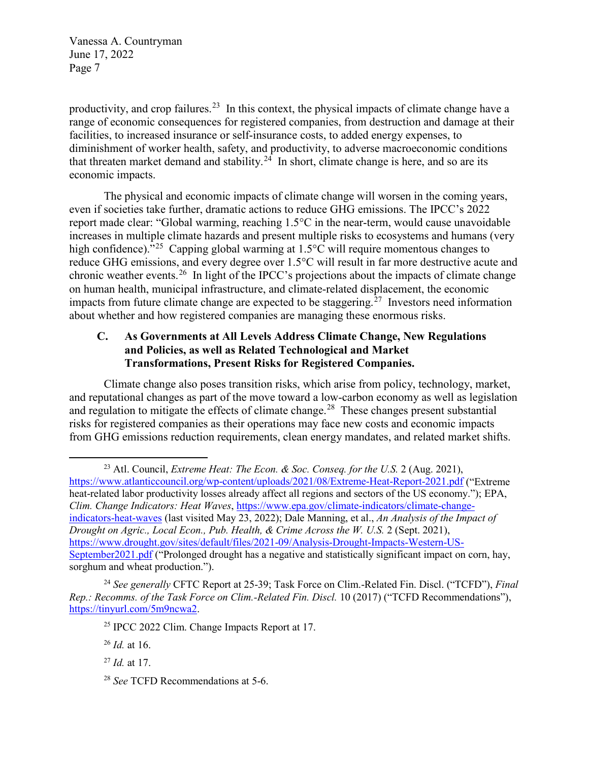productivity, and crop failures.<sup>23</sup> In this context, the physical impacts of climate change have a range of economic consequences for registered companies, from destruction and damage at their facilities, to increased insurance or self-insurance costs, to added energy expenses, to diminishment of worker health, safety, and productivity, to adverse macroeconomic conditions that threaten market demand and stability.<sup>24</sup> In short, climate change is here, and so are its economic impacts.

The physical and economic impacts of climate change will worsen in the coming years, even if societies take further, dramatic actions to reduce GHG emissions. The IPCC's 2022 report made clear: "Global warming, reaching 1.5°C in the near-term, would cause unavoidable increases in multiple climate hazards and present multiple risks to ecosystems and humans (very high confidence)."<sup>25</sup> Capping global warming at 1.5°C will require momentous changes to reduce GHG emissions, and every degree over 1.5°C will result in far more destructive acute and chronic weather events.<sup>[26](#page-6-3)</sup> In light of the IPCC's projections about the impacts of climate change on human health, municipal infrastructure, and climate-related displacement, the economic impacts from future climate change are expected to be staggering.<sup>[27](#page-6-4)</sup> Investors need information about whether and how registered companies are managing these enormous risks.

#### **C. As Governments at All Levels Address Climate Change, New Regulations and Policies, as well as Related Technological and Market Transformations, Present Risks for Registered Companies.**

Climate change also poses transition risks, which arise from policy, technology, market, and reputational changes as part of the move toward a low-carbon economy as well as legislation and regulation to mitigate the effects of climate change.<sup>[28](#page-6-5)</sup> These changes present substantial risks for registered companies as their operations may face new costs and economic impacts from GHG emissions reduction requirements, clean energy mandates, and related market shifts.

<span id="page-6-0"></span> $\overline{a}$ 23 Atl. Council, *Extreme Heat: The Econ. & Soc. Conseq. for the U.S.* 2 (Aug. 2021), <https://www.atlanticcouncil.org/wp-content/uploads/2021/08/Extreme-Heat-Report-2021.pdf> ("Extreme heat-related labor productivity losses already affect all regions and sectors of the US economy."); EPA, *Clim. Change Indicators: Heat Waves*, [https://www.epa.gov/climate-indicators/climate-change](https://www.epa.gov/climate-indicators/climate-change-indicators-heat-waves)[indicators-heat-waves](https://www.epa.gov/climate-indicators/climate-change-indicators-heat-waves) (last visited May 23, 2022); Dale Manning, et al., *An Analysis of the Impact of Drought on Agric., Local Econ., Pub. Health, & Crime Across the W. U.S.* 2 (Sept. 2021), [https://www.drought.gov/sites/default/files/2021-09/Analysis-Drought-Impacts-Western-US-](https://www.drought.gov/sites/default/files/2021-09/Analysis-Drought-Impacts-Western-US-September2021.pdf)[September2021.pdf](https://www.drought.gov/sites/default/files/2021-09/Analysis-Drought-Impacts-Western-US-September2021.pdf) ("Prolonged drought has a negative and statistically significant impact on corn, hay, sorghum and wheat production.").

<span id="page-6-3"></span><span id="page-6-2"></span><span id="page-6-1"></span><sup>24</sup> *See generally* CFTC Report at 25-39; Task Force on Clim.-Related Fin. Discl. ("TCFD"), *Final Rep.: Recomms. of the Task Force on Clim.-Related Fin. Discl.* 10 (2017) ("TCFD Recommendations"), [https://tinyurl.com/5m9ncwa2.](https://tinyurl.com/5m9ncwa2)

<sup>&</sup>lt;sup>25</sup> IPCC 2022 Clim. Change Impacts Report at 17.

<sup>26</sup> *Id.* at 16.

<span id="page-6-4"></span><sup>27</sup> *Id.* at 17.

<span id="page-6-5"></span><sup>28</sup> *See* TCFD Recommendations at 5-6.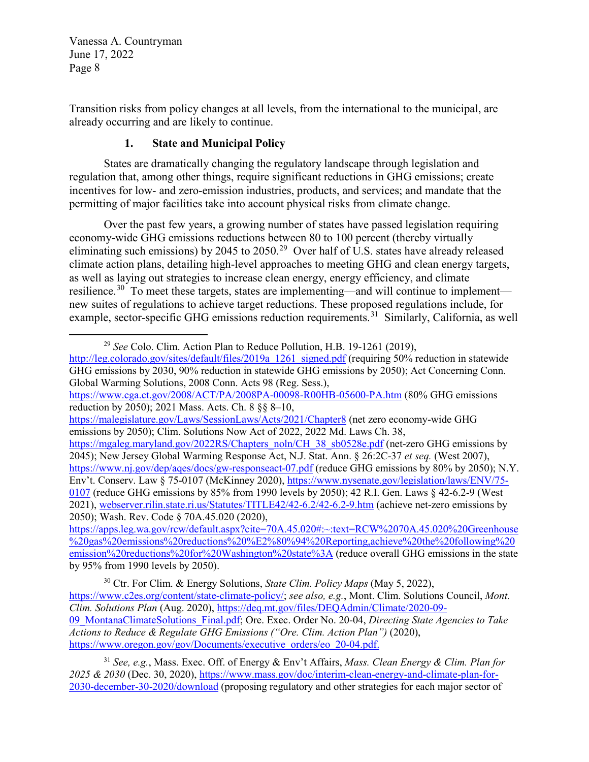$\overline{a}$ 

Transition risks from policy changes at all levels, from the international to the municipal, are already occurring and are likely to continue.

# **1. State and Municipal Policy**

States are dramatically changing the regulatory landscape through legislation and regulation that, among other things, require significant reductions in GHG emissions; create incentives for low- and zero-emission industries, products, and services; and mandate that the permitting of major facilities take into account physical risks from climate change.

Over the past few years, a growing number of states have passed legislation requiring economy-wide GHG emissions reductions between 80 to 100 percent (thereby virtually eliminating such emissions) by 2045 to 2050.<sup>29</sup> Over half of U.S. states have already released climate action plans, detailing high-level approaches to meeting GHG and clean energy targets, as well as laying out strategies to increase clean energy, energy efficiency, and climate resilience.<sup>30</sup> To meet these targets, states are implementing—and will continue to implement new suites of regulations to achieve target reductions. These proposed regulations include, for example, sector-specific GHG emissions reduction requirements.<sup>31</sup> Similarly, California, as well

<sup>29</sup> *See* Colo. Clim. Action Plan to Reduce Pollution, H.B. 19-1261 (2019),

<span id="page-7-0"></span>[http://leg.colorado.gov/sites/default/files/2019a\\_1261\\_signed.pdf](http://leg.colorado.gov/sites/default/files/2019a_1261_signed.pdf) (requiring 50% reduction in statewide GHG emissions by 2030, 90% reduction in statewide GHG emissions by 2050); Act Concerning Conn. Global Warming Solutions, 2008 Conn. Acts 98 (Reg. Sess.),

<https://www.cga.ct.gov/2008/ACT/PA/2008PA-00098-R00HB-05600-PA.htm> (80% GHG emissions reduction by 2050); 2021 Mass. Acts. Ch. 8 §§ 8–10,

<https://malegislature.gov/Laws/SessionLaws/Acts/2021/Chapter8> (net zero economy-wide GHG emissions by 2050); Clim. Solutions Now Act of 2022, 2022 Md. Laws Ch. 38,

[https://mgaleg.maryland.gov/2022RS/Chapters\\_noln/CH\\_38\\_sb0528e.pdf](https://mgaleg.maryland.gov/2022RS/Chapters_noln/CH_38_sb0528e.pdf) (net-zero GHG emissions by 2045); New Jersey Global Warming Response Act, N.J. Stat. Ann. § 26:2C-37 *et seq.* (West 2007), <https://www.nj.gov/dep/aqes/docs/gw-responseact-07.pdf>(reduce GHG emissions by 80% by 2050); N.Y. Env't. Conserv. Law § 75-0107 (McKinney 2020)[, https://www.nysenate.gov/legislation/laws/ENV/75-](https://www.nysenate.gov/legislation/laws/ENV/75-0107) [0107](https://www.nysenate.gov/legislation/laws/ENV/75-0107) (reduce GHG emissions by 85% from 1990 levels by 2050); 42 R.I. Gen. Laws § 42-6.2-9 (West 2021), [webserver.rilin.state.ri.us/Statutes/TITLE42/42-6.2/42-6.2-9.htm](http://webserver.rilin.state.ri.us/Statutes/TITLE42/42-6.2/42-6.2-9.htm) (achieve net-zero emissions by 2050); Wash. Rev. Code § 70A.45.020 (2020),

[https://apps.leg.wa.gov/rcw/default.aspx?cite=70A.45.020#:~:text=RCW%2070A.45.020%20Greenhouse](https://apps.leg.wa.gov/rcw/default.aspx?cite=70A.45.020#:%7E:text=RCW%2070A.45.020%20Greenhouse%20gas%20emissions%20reductions%20%E2%80%94%20Reporting,achieve%20the%20following%20emission%20reductions%20for%20Washington%20state%3A)  $\frac{1}{2020}$ gas%20emissions%20reductions%20%E2%80%94%20Reporting,achieve%20the%20following%20 [emission%20reductions%20for%20Washington%20state%3A](https://apps.leg.wa.gov/rcw/default.aspx?cite=70A.45.020#:%7E:text=RCW%2070A.45.020%20Greenhouse%20gas%20emissions%20reductions%20%E2%80%94%20Reporting,achieve%20the%20following%20emission%20reductions%20for%20Washington%20state%3A) (reduce overall GHG emissions in the state by 95% from 1990 levels by 2050).

<span id="page-7-1"></span><sup>30</sup> Ctr. For Clim. & Energy Solutions, *State Clim. Policy Maps* (May 5, 2022), [https://www.c2es.org/content/state-climate-policy/;](https://www.c2es.org/content/state-climate-policy/) *see also, e.g.*, Mont. Clim. Solutions Council, *Mont. Clim. Solutions Plan* (Aug. 2020), [https://deq.mt.gov/files/DEQAdmin/Climate/2020-09-](https://deq.mt.gov/files/DEQAdmin/Climate/2020-09-09_MontanaClimateSolutions_Final.pdf) [09\\_MontanaClimateSolutions\\_Final.pdf;](https://deq.mt.gov/files/DEQAdmin/Climate/2020-09-09_MontanaClimateSolutions_Final.pdf) Ore. Exec. Order No. 20-04, *Directing State Agencies to Take Actions to Reduce & Regulate GHG Emissions ("Ore. Clim. Action Plan")* (2020), [https://www.oregon.gov/gov/Documents/executive\\_orders/eo\\_20-04.pdf.](https://www.oregon.gov/gov/Documents/executive_orders/eo_20-04.pdf)

<span id="page-7-2"></span><sup>31</sup> *See, e.g.*, Mass. Exec. Off. of Energy & Env't Affairs, *Mass. Clean Energy & Clim. Plan for 2025 & 2030* (Dec. 30, 2020), [https://www.mass.gov/doc/interim-clean-energy-and-climate-plan-for-](https://www.mass.gov/doc/interim-clean-energy-and-climate-plan-for-2030-december-30-2020/download)[2030-december-30-2020/download](https://www.mass.gov/doc/interim-clean-energy-and-climate-plan-for-2030-december-30-2020/download) (proposing regulatory and other strategies for each major sector of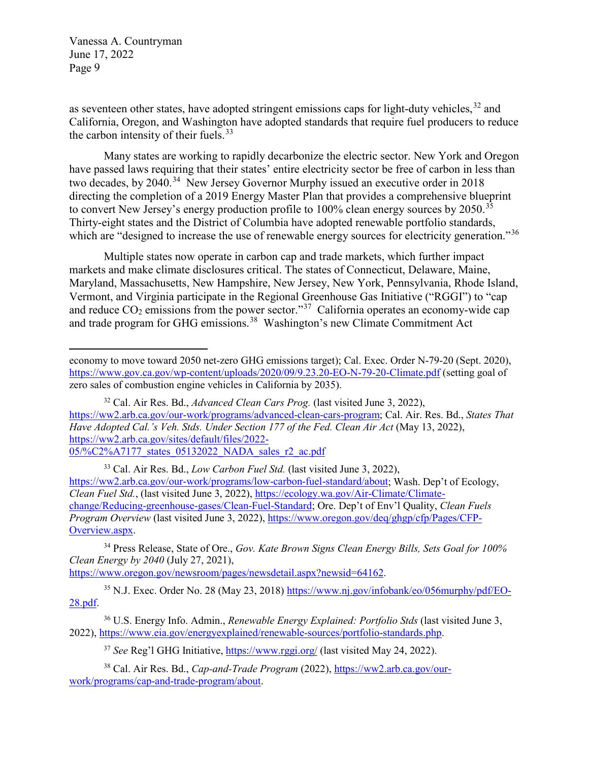$\overline{a}$ 

as seventeen other states, have adopted stringent emissions caps for light-duty vehicles,<sup>[32](#page-8-0)</sup> and California, Oregon, and Washington have adopted standards that require fuel producers to reduce the carbon intensity of their fuels. $33$ 

Many states are working to rapidly decarbonize the electric sector. New York and Oregon have passed laws requiring that their states' entire electricity sector be free of carbon in less than two decades, by 2040.<sup>34</sup> New Jersey Governor Murphy issued an executive order in 2018 directing the completion of a 2019 Energy Master Plan that provides a comprehensive blueprint to convert New Jersey's energy production profile to  $100\%$  clean energy sources by  $2050$ .<sup>[35](#page-8-3)</sup> Thirty-eight states and the District of Columbia have adopted renewable portfolio standards, which are "designed to increase the use of renewable energy sources for electricity generation."<sup>36</sup>

 Multiple states now operate in carbon cap and trade markets, which further impact markets and make climate disclosures critical. The states of Connecticut, Delaware, Maine, Maryland, Massachusetts, New Hampshire, New Jersey, New York, Pennsylvania, Rhode Island, Vermont, and Virginia participate in the Regional Greenhouse Gas Initiative ("RGGI") to "cap and reduce  $CO_2$  emissions from the power sector."<sup>[37](#page-8-5)</sup> California operates an economy-wide cap and trade program for GHG emissions.[38](#page-8-6) Washington's new Climate Commitment Act

[https://www.oregon.gov/newsroom/pages/newsdetail.aspx?newsid=64162.](https://www.oregon.gov/newsroom/pages/newsdetail.aspx?newsid=64162)

economy to move toward 2050 net-zero GHG emissions target); Cal. Exec. Order N-79-20 (Sept. 2020), <https://www.gov.ca.gov/wp-content/uploads/2020/09/9.23.20-EO-N-79-20-Climate.pdf>(setting goal of zero sales of combustion engine vehicles in California by 2035).

<span id="page-8-0"></span><sup>32</sup> Cal. Air Res. Bd., *Advanced Clean Cars Prog.* (last visited June 3, 2022), [https://ww2.arb.ca.gov/our-work/programs/advanced-clean-cars-program;](https://ww2.arb.ca.gov/our-work/programs/advanced-clean-cars-program) Cal. Air. Res. Bd., *States That Have Adopted Cal.'s Veh. Stds. Under Section 177 of the Fed. Clean Air Act* (May 13, 2022), [https://ww2.arb.ca.gov/sites/default/files/2022-](https://ww2.arb.ca.gov/sites/default/files/2022-05/%C2%A7177_states_05132022_NADA_sales_r2_ac.pdf) [05/%C2%A7177\\_states\\_05132022\\_NADA\\_sales\\_r2\\_ac.pdf](https://ww2.arb.ca.gov/sites/default/files/2022-05/%C2%A7177_states_05132022_NADA_sales_r2_ac.pdf)

<span id="page-8-1"></span><sup>33</sup> Cal. Air Res. Bd., *Low Carbon Fuel Std.* (last visited June 3, 2022), [https://ww2.arb.ca.gov/our-work/programs/low-carbon-fuel-standard/about;](https://ww2.arb.ca.gov/our-work/programs/low-carbon-fuel-standard/about) Wash. Dep't of Ecology, *Clean Fuel Std.*, (last visited June 3, 2022), [https://ecology.wa.gov/Air-Climate/Climate](https://ecology.wa.gov/Air-Climate/Climate-change/Reducing-greenhouse-gases/Clean-Fuel-Standardy)[change/Reducing-greenhouse-gases/Clean-Fuel-Standard;](https://ecology.wa.gov/Air-Climate/Climate-change/Reducing-greenhouse-gases/Clean-Fuel-Standardy) Ore. Dep't of Env'l Quality, *Clean Fuels Program Overview* (last visited June 3, 2022), [https://www.oregon.gov/deq/ghgp/cfp/Pages/CFP-](https://www.oregon.gov/deq/ghgp/cfp/Pages/CFP-Overview.aspx)[Overview.aspx.](https://www.oregon.gov/deq/ghgp/cfp/Pages/CFP-Overview.aspx)

<span id="page-8-2"></span><sup>34</sup> Press Release, State of Ore., *Gov. Kate Brown Signs Clean Energy Bills, Sets Goal for 100% Clean Energy by 2040* (July 27, 2021),

<span id="page-8-3"></span><sup>&</sup>lt;sup>35</sup> N.J. Exec. Order No. 28 (May 23, 2018) [https://www.nj.gov/infobank/eo/056murphy/pdf/EO-](https://www.nj.gov/infobank/eo/056murphy/pdf/EO-28.pdf)[28.pdf.](https://www.nj.gov/infobank/eo/056murphy/pdf/EO-28.pdf)

<span id="page-8-4"></span><sup>36</sup> U.S. Energy Info. Admin., *Renewable Energy Explained: Portfolio Stds* (last visited June 3, 2022), [https://www.eia.gov/energyexplained/renewable-sources/portfolio-standards.php.](https://www.eia.gov/energyexplained/renewable-sources/portfolio-standards.php)

<sup>37</sup> *See* Reg'l GHG Initiative[, https://www.rggi.org/](https://www.rggi.org/) (last visited May 24, 2022).

<span id="page-8-6"></span><span id="page-8-5"></span><sup>38</sup> Cal. Air Res. Bd., *Cap-and-Trade Program* (2022), [https://ww2.arb.ca.gov/our](https://ww2.arb.ca.gov/our-work/programs/cap-and-trade-program/about)[work/programs/cap-and-trade-program/about.](https://ww2.arb.ca.gov/our-work/programs/cap-and-trade-program/about)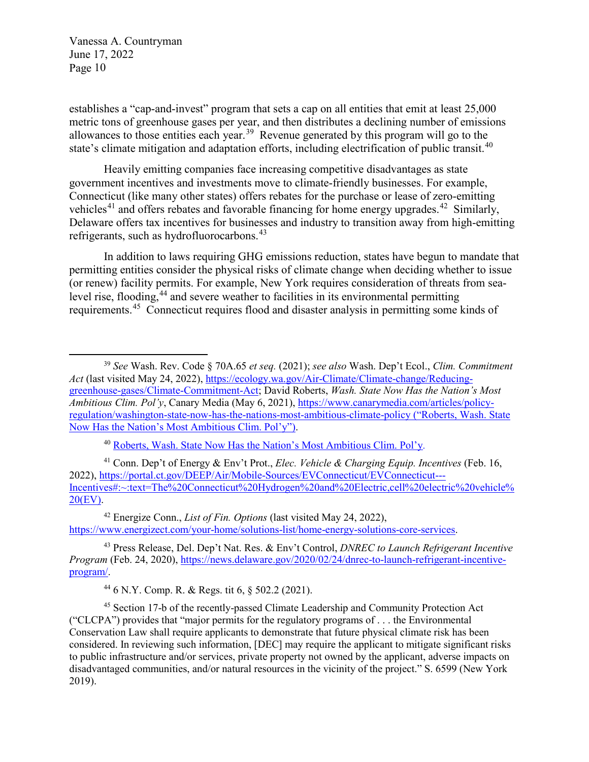establishes a "cap-and-invest" program that sets a cap on all entities that emit at least 25,000 metric tons of greenhouse gases per year, and then distributes a declining number of emissions allowances to those entities each year.[39](#page-9-0) Revenue generated by this program will go to the state's climate mitigation and adaptation efforts, including electrification of public transit.<sup>[40](#page-9-1)</sup>

Heavily emitting companies face increasing competitive disadvantages as state government incentives and investments move to climate-friendly businesses. For example, Connecticut (like many other states) offers rebates for the purchase or lease of zero-emitting vehicles<sup>[41](#page-9-2)</sup> and offers rebates and favorable financing for home energy upgrades.<sup>42</sup> Similarly, Delaware offers tax incentives for businesses and industry to transition away from high-emitting refrigerants, such as hydrofluorocarbons.<sup>[43](#page-9-4)</sup>

In addition to laws requiring GHG emissions reduction, states have begun to mandate that permitting entities consider the physical risks of climate change when deciding whether to issue (or renew) facility permits. For example, New York requires consideration of threats from sea-level rise, flooding,<sup>[44](#page-9-5)</sup> and severe weather to facilities in its environmental permitting requirements.[45](#page-9-6) Connecticut requires flood and disaster analysis in permitting some kinds of

<sup>40</sup> Roberts, Wash. State Now Has the Nation's Most Ambitious Clim. Pol'y.

<span id="page-9-2"></span><span id="page-9-1"></span>41 Conn. Dep't of Energy & Env't Prot., *Elec. Vehicle & Charging Equip. Incentives* (Feb. 16, 2022), [https://portal.ct.gov/DEEP/Air/Mobile-Sources/EVConnecticut/EVConnecticut---](https://portal.ct.gov/DEEP/Air/Mobile-Sources/EVConnecticut/EVConnecticut---Incentives#:%7E:text=The%20Connecticut%20Hydrogen%20and%20Electric,cell%20electric%20vehicle%20(EV)) [Incentives#:~:text=The%20Connecticut%20Hydrogen%20and%20Electric,cell%20electric%20vehicle%](https://portal.ct.gov/DEEP/Air/Mobile-Sources/EVConnecticut/EVConnecticut---Incentives#:%7E:text=The%20Connecticut%20Hydrogen%20and%20Electric,cell%20electric%20vehicle%20(EV)) [20\(EV\).](https://portal.ct.gov/DEEP/Air/Mobile-Sources/EVConnecticut/EVConnecticut---Incentives#:%7E:text=The%20Connecticut%20Hydrogen%20and%20Electric,cell%20electric%20vehicle%20(EV))

<span id="page-9-3"></span>42 Energize Conn., *List of Fin. Options* (last visited May 24, 2022), [https://www.energizect.com/your-home/solutions-list/home-energy-solutions-core-services.](https://www.energizect.com/your-home/solutions-list/home-energy-solutions-core-services)

<span id="page-9-4"></span><sup>43</sup> Press Release, Del. Dep't Nat. Res. & Env't Control, *DNREC to Launch Refrigerant Incentive Program* (Feb. 24, 2020), [https://news.delaware.gov/2020/02/24/dnrec-to-launch-refrigerant-incentive](https://news.delaware.gov/2020/02/24/dnrec-to-launch-refrigerant-incentive-program/)[program/.](https://news.delaware.gov/2020/02/24/dnrec-to-launch-refrigerant-incentive-program/)

<span id="page-9-0"></span> $\overline{a}$ <sup>39</sup> *See* Wash. Rev. Code § 70A.65 *et seq.* (2021); *see also* Wash. Dep't Ecol., *Clim. Commitment Act* (last visited May 24, 2022), [https://ecology.wa.gov/Air-Climate/Climate-change/Reducing](https://ecology.wa.gov/Air-Climate/Climate-change/Reducing-greenhouse-gases/Climate-Commitment-Act)[greenhouse-gases/Climate-Commitment-Act;](https://ecology.wa.gov/Air-Climate/Climate-change/Reducing-greenhouse-gases/Climate-Commitment-Act) David Roberts, *Wash. State Now Has the Nation's Most Ambitious Clim. Pol'y*, Canary Media (May 6, 2021)[, https://www.canarymedia.com/articles/policy](https://www.canarymedia.com/articles/policy-regulation/washington-state-now-has-the-nations-most-ambitious-climate-policy)[regulation/washington-state-now-has-the-nations-most-ambitious-climate-policy](https://www.canarymedia.com/articles/policy-regulation/washington-state-now-has-the-nations-most-ambitious-climate-policy) ("Roberts, Wash. State Now Has the Nation's Most Ambitious Clim. Pol'y").

<sup>44 6</sup> N.Y. Comp. R. & Regs. tit 6, § 502.2 (2021).

<span id="page-9-6"></span><span id="page-9-5"></span><sup>45</sup> Section 17-b of the recently-passed Climate Leadership and Community Protection Act ("CLCPA") provides that "major permits for the regulatory programs of . . . the Environmental Conservation Law shall require applicants to demonstrate that future physical climate risk has been considered. In reviewing such information, [DEC] may require the applicant to mitigate significant risks to public infrastructure and/or services, private property not owned by the applicant, adverse impacts on disadvantaged communities, and/or natural resources in the vicinity of the project." S. 6599 (New York 2019).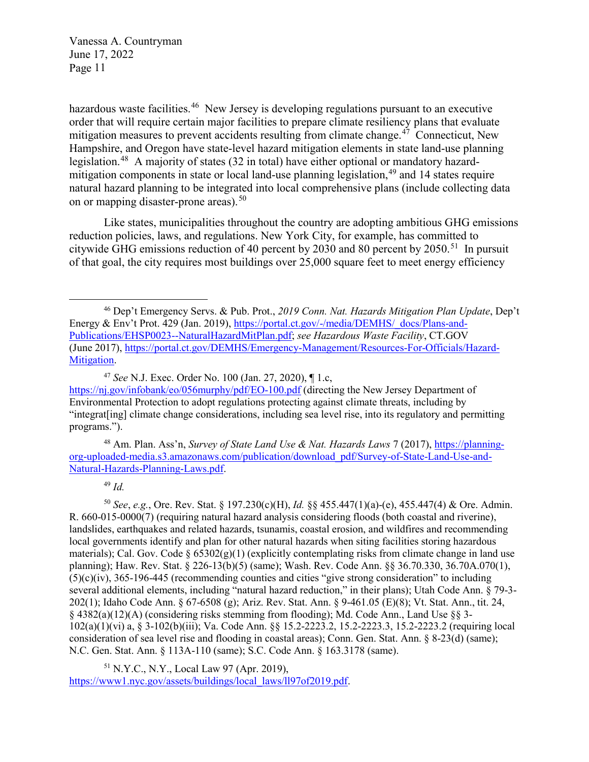hazardous waste facilities.<sup>[46](#page-10-0)</sup> New Jersey is developing regulations pursuant to an executive order that will require certain major facilities to prepare climate resiliency plans that evaluate mitigation measures to prevent accidents resulting from climate change.<sup> $47$ </sup> Connecticut, New Hampshire, and Oregon have state-level hazard mitigation elements in state land-use planning legislation.<sup>48</sup> A majority of states (32 in total) have either optional or mandatory hazardmitigation components in state or local land-use planning legislation,  $49$  and 14 states require natural hazard planning to be integrated into local comprehensive plans (include collecting data on or mapping disaster-prone areas).<sup>[50](#page-10-4)</sup>

Like states, municipalities throughout the country are adopting ambitious GHG emissions reduction policies, laws, and regulations. New York City, for example, has committed to citywide GHG emissions reduction of 40 percent by 2030 and 80 percent by 2050.<sup>51</sup> In pursuit of that goal, the city requires most buildings over 25,000 square feet to meet energy efficiency

<span id="page-10-2"></span>48 Am. Plan. Ass'n, *Survey of State Land Use & Nat. Hazards Laws* 7 (2017), [https://planning](https://planning-org-uploaded-media.s3.amazonaws.com/publication/download_pdf/Survey-of-State-Land-Use-and-Natural-Hazards-Planning-Laws.pdf)[org-uploaded-media.s3.amazonaws.com/publication/download\\_pdf/Survey-of-State-Land-Use-and-](https://planning-org-uploaded-media.s3.amazonaws.com/publication/download_pdf/Survey-of-State-Land-Use-and-Natural-Hazards-Planning-Laws.pdf)[Natural-Hazards-Planning-Laws.pdf.](https://planning-org-uploaded-media.s3.amazonaws.com/publication/download_pdf/Survey-of-State-Land-Use-and-Natural-Hazards-Planning-Laws.pdf)

<sup>49</sup> *Id.*

 $\overline{a}$ 

<span id="page-10-4"></span><span id="page-10-3"></span><sup>50</sup> *See*, *e.g.*, Ore. Rev. Stat. § 197.230(c)(H), *Id.* §§ 455.447(1)(a)-(e), 455.447(4) & Ore. Admin. R. 660-015-0000(7) (requiring natural hazard analysis considering floods (both coastal and riverine), landslides, earthquakes and related hazards, tsunamis, coastal erosion, and wildfires and recommending local governments identify and plan for other natural hazards when siting facilities storing hazardous materials); Cal. Gov. Code  $\S 65302(g)(1)$  (explicitly contemplating risks from climate change in land use planning); Haw. Rev. Stat. § 226-13(b)(5) (same); Wash. Rev. Code Ann. §§ 36.70.330, 36.70A.070(1), (5)(c)(iv), 365-196-445 (recommending counties and cities "give strong consideration" to including several additional elements, including "natural hazard reduction," in their plans); Utah Code Ann. § 79-3- 202(1); Idaho Code Ann. § 67-6508 (g); Ariz. Rev. Stat. Ann. § 9-461.05 (E)(8); Vt. Stat. Ann., tit. 24, § 4382(a)(12)(A) (considering risks stemming from flooding); Md. Code Ann., Land Use §§ 3- 102(a)(1)(vi) a, § 3-102(b)(iii); Va. Code Ann. §§ 15.2-2223.2, 15.2-2223.3, 15.2-2223.2 (requiring local consideration of sea level rise and flooding in coastal areas); Conn. Gen. Stat. Ann. § 8-23(d) (same); N.C. Gen. Stat. Ann. § 113A-110 (same); S.C. Code Ann. § 163.3178 (same).

<span id="page-10-5"></span>51 N.Y.C., N.Y., Local Law 97 (Apr. 2019), [https://www1.nyc.gov/assets/buildings/local\\_laws/ll97of2019.pdf.](https://www1.nyc.gov/assets/buildings/local_laws/ll97of2019.pdf)

<span id="page-10-0"></span><sup>46</sup> Dep't Emergency Servs. & Pub. Prot., *2019 Conn. Nat. Hazards Mitigation Plan Update*, Dep't Energy & Env't Prot. 429 (Jan. 2019), [https://portal.ct.gov/-/media/DEMHS/\\_docs/Plans-and-](https://portal.ct.gov/-/media/DEMHS/_docs/Plans-and-Publications/EHSP0023--NaturalHazardMitPlan.pdf)[Publications/EHSP0023--NaturalHazardMitPlan.pdf;](https://portal.ct.gov/-/media/DEMHS/_docs/Plans-and-Publications/EHSP0023--NaturalHazardMitPlan.pdf) *see Hazardous Waste Facility*, CT.GOV (June 2017)[, https://portal.ct.gov/DEMHS/Emergency-Management/Resources-For-Officials/Hazard-](https://portal.ct.gov/DEMHS/Emergency-Management/Resources-For-Officials/Hazard-Mitigation)[Mitigation.](https://portal.ct.gov/DEMHS/Emergency-Management/Resources-For-Officials/Hazard-Mitigation)

<span id="page-10-1"></span><sup>47</sup> *See* N.J. Exec. Order No. 100 (Jan. 27, 2020), ¶ 1.c, <https://nj.gov/infobank/eo/056murphy/pdf/EO-100.pdf> (directing the New Jersey Department of Environmental Protection to adopt regulations protecting against climate threats, including by "integrat[ing] climate change considerations, including sea level rise, into its regulatory and permitting programs.").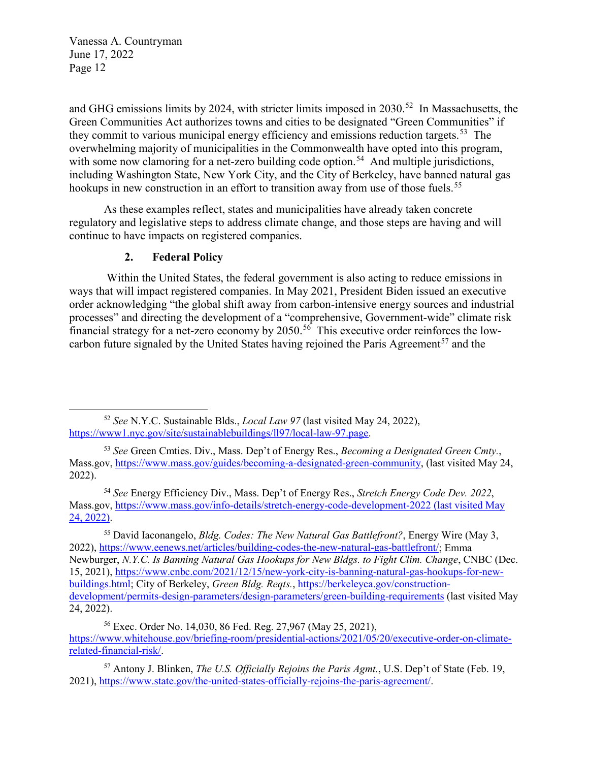$\overline{a}$ 

and GHG emissions limits by 2024, with stricter limits imposed in 2030.<sup>52</sup> In Massachusetts, the Green Communities Act authorizes towns and cities to be designated "Green Communities" if they commit to various municipal energy efficiency and emissions reduction targets.<sup>[53](#page-11-1)</sup> The overwhelming majority of municipalities in the Commonwealth have opted into this program, with some now clamoring for a net-zero building code option.<sup>54</sup> And multiple jurisdictions, including Washington State, New York City, and the City of Berkeley, have banned natural gas hookups in new construction in an effort to transition away from use of those fuels.<sup>[55](#page-11-3)</sup>

As these examples reflect, states and municipalities have already taken concrete regulatory and legislative steps to address climate change, and those steps are having and will continue to have impacts on registered companies.

## **2. Federal Policy**

 Within the United States, the federal government is also acting to reduce emissions in ways that will impact registered companies. In May 2021, President Biden issued an executive order acknowledging "the global shift away from carbon-intensive energy sources and industrial processes" and directing the development of a "comprehensive, Government-wide" climate risk financial strategy for a net-zero economy by  $2050$ .<sup>[56](#page-11-4)</sup> This executive order reinforces the lowcarbon future signaled by the United States having rejoined the Paris Agreement<sup>57</sup> and the

<span id="page-11-0"></span><sup>52</sup> *See* N.Y.C. Sustainable Blds., *Local Law 97* (last visited May 24, 2022), [https://www1.nyc.gov/site/sustainablebuildings/ll97/local-law-97.page.](https://www1.nyc.gov/site/sustainablebuildings/ll97/local-law-97.page) 

<span id="page-11-1"></span><sup>53</sup> *See* Green Cmties. Div., Mass. Dep't of Energy Res., *Becoming a Designated Green Cmty.*, Mass.gov, [https://www.mass.gov/guides/becoming-a-designated-green-community,](https://www.mass.gov/guides/becoming-a-designated-green-community) (last visited May 24, 2022).

<span id="page-11-2"></span><sup>54</sup> *See* Energy Efficiency Div., Mass. Dep't of Energy Res., *Stretch Energy Code Dev. 2022*, Mass.gov,<https://www.mass.gov/info-details/stretch-energy-code-development-2022> (last visited May 24, 2022).

<span id="page-11-3"></span><sup>55</sup> David Iaconangelo, *Bldg. Codes: The New Natural Gas Battlefront?*, Energy Wire (May 3, 2022), [https://www.eenews.net/articles/building-codes-the-new-natural-gas-battlefront/;](https://www.eenews.net/articles/building-codes-the-new-natural-gas-battlefront/) Emma Newburger, *N.Y.C. Is Banning Natural Gas Hookups for New Bldgs. to Fight Clim. Change*, CNBC (Dec. 15, 2021)[, https://www.cnbc.com/2021/12/15/new-york-city-is-banning-natural-gas-hookups-for-new](https://www.cnbc.com/2021/12/15/new-york-city-is-banning-natural-gas-hookups-for-new-buildings.html)[buildings.html;](https://www.cnbc.com/2021/12/15/new-york-city-is-banning-natural-gas-hookups-for-new-buildings.html) City of Berkeley, *Green Bldg. Reqts.*[, https://berkeleyca.gov/construction](https://berkeleyca.gov/construction-development/permits-design-parameters/design-parameters/green-building-requirements)[development/permits-design-parameters/design-parameters/green-building-requirements](https://berkeleyca.gov/construction-development/permits-design-parameters/design-parameters/green-building-requirements) (last visited May 24, 2022).

<span id="page-11-4"></span><sup>56</sup> Exec. Order No. 14,030, 86 Fed. Reg. 27,967 (May 25, 2021), [https://www.whitehouse.gov/briefing-room/presidential-actions/2021/05/20/executive-order-on-climate](https://www.whitehouse.gov/briefing-room/presidential-actions/2021/05/20/executive-order-on-climate-related-financial-risk/)[related-financial-risk/.](https://www.whitehouse.gov/briefing-room/presidential-actions/2021/05/20/executive-order-on-climate-related-financial-risk/)

<span id="page-11-5"></span><sup>57</sup> Antony J. Blinken, *The U.S. Officially Rejoins the Paris Agmt.*, U.S. Dep't of State (Feb. 19, 2021), [https://www.state.gov/the-united-states-officially-rejoins-the-paris-agreement/.](https://www.state.gov/the-united-states-officially-rejoins-the-paris-agreement/)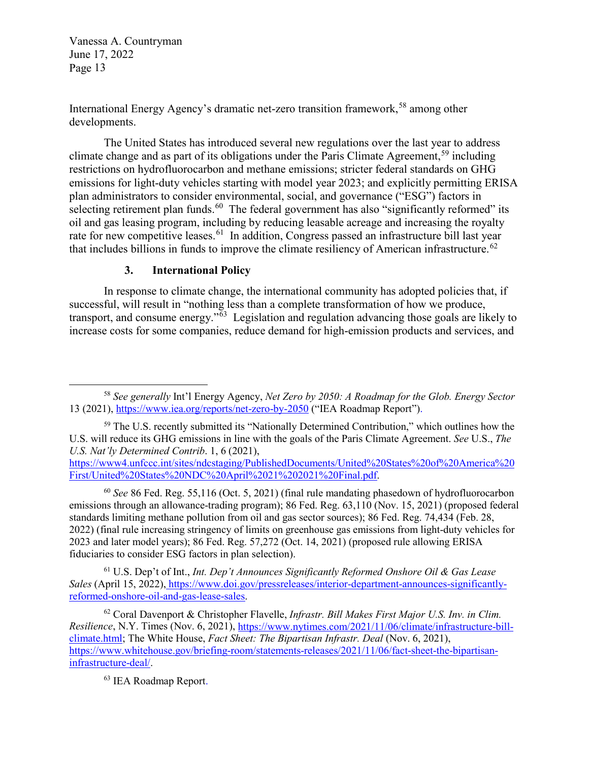International Energy Agency's dramatic net-zero transition framework,<sup>58</sup> among other developments.

The United States has introduced several new regulations over the last year to address climate change and as part of its obligations under the Paris Climate Agreement,<sup>59</sup> including restrictions on hydrofluorocarbon and methane emissions; stricter federal standards on GHG emissions for light-duty vehicles starting with model year 2023; and explicitly permitting ERISA plan administrators to consider environmental, social, and governance ("ESG") factors in selecting retirement plan funds.<sup>60</sup> The federal government has also "significantly reformed" its oil and gas leasing program, including by reducing leasable acreage and increasing the royalty rate for new competitive leases.<sup>61</sup> In addition, Congress passed an infrastructure bill last year that includes billions in funds to improve the climate resiliency of American infrastructure.<sup>[62](#page-12-4)</sup>

#### **3. International Policy**

In response to climate change, the international community has adopted policies that, if successful, will result in "nothing less than a complete transformation of how we produce, transport, and consume energy."[63](#page-12-5) Legislation and regulation advancing those goals are likely to increase costs for some companies, reduce demand for high-emission products and services, and

[https://www4.unfccc.int/sites/ndcstaging/PublishedDocuments/United%20States%20of%20America%20](https://www4.unfccc.int/sites/ndcstaging/PublishedDocuments/United%20States%20of%20America%20First/United%20States%20NDC%20April%2021%202021%20Final.pdf) [First/United%20States%20NDC%20April%2021%202021%20Final.pdf.](https://www4.unfccc.int/sites/ndcstaging/PublishedDocuments/United%20States%20of%20America%20First/United%20States%20NDC%20April%2021%202021%20Final.pdf)

<span id="page-12-2"></span><sup>60</sup> *See* 86 Fed. Reg. 55,116 (Oct. 5, 2021) (final rule mandating phasedown of hydrofluorocarbon emissions through an allowance-trading program); 86 Fed. Reg. 63,110 (Nov. 15, 2021) (proposed federal standards limiting methane pollution from oil and gas sector sources); 86 Fed. Reg. 74,434 (Feb. 28, 2022) (final rule increasing stringency of limits on greenhouse gas emissions from light-duty vehicles for 2023 and later model years); 86 Fed. Reg. 57,272 (Oct. 14, 2021) (proposed rule allowing ERISA fiduciaries to consider ESG factors in plan selection).

<span id="page-12-3"></span>61 U.S. Dep't of Int., *Int. Dep't Announces Significantly Reformed Onshore Oil & Gas Lease Sales* (April 15, 2022), [https://www.doi.gov/pressreleases/interior-department-announces-significantly](https://www.doi.gov/pressreleases/interior-department-announces-significantly-reformed-onshore-oil-and-gas-lease-sales)[reformed-onshore-oil-and-gas-lease-sales.](https://www.doi.gov/pressreleases/interior-department-announces-significantly-reformed-onshore-oil-and-gas-lease-sales)

<span id="page-12-5"></span><span id="page-12-4"></span>62 Coral Davenport & Christopher Flavelle, *Infrastr. Bill Makes First Major U.S. Inv. in Clim. Resilience*, N.Y. Times (Nov. 6, 2021), [https://www.nytimes.com/2021/11/06/climate/infrastructure-bill](https://www.nytimes.com/2021/11/06/climate/infrastructure-bill-climate.html)[climate.html;](https://www.nytimes.com/2021/11/06/climate/infrastructure-bill-climate.html) The White House, *Fact Sheet: The Bipartisan Infrastr. Deal* (Nov. 6, 2021), [https://www.whitehouse.gov/briefing-room/statements-releases/2021/11/06/fact-sheet-the-bipartisan](https://www.whitehouse.gov/briefing-room/statements-releases/2021/11/06/fact-sheet-the-bipartisan-infrastructure-deal/)[infrastructure-deal/.](https://www.whitehouse.gov/briefing-room/statements-releases/2021/11/06/fact-sheet-the-bipartisan-infrastructure-deal/) 

63 IEA Roadmap Report.

<span id="page-12-0"></span> $\overline{a}$ <sup>58</sup> *See generally* Int'l Energy Agency, *Net Zero by 2050: A Roadmap for the Glob. Energy Sector*  13 (2021), https://www.iea.org/reports/net-zero-by-2050 ("IEA Roadmap Report").

<span id="page-12-1"></span><sup>&</sup>lt;sup>59</sup> The U.S. recently submitted its "Nationally Determined Contribution," which outlines how the U.S. will reduce its GHG emissions in line with the goals of the Paris Climate Agreement. *See* U.S., *The U.S. Nat'ly Determined Contrib*. 1, 6 (2021),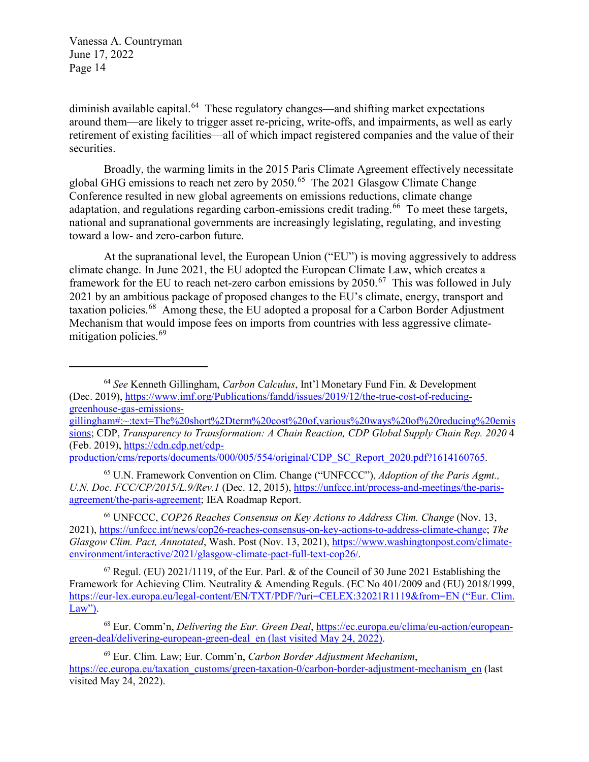$\overline{a}$ 

diminish available capital.<sup>[64](#page-13-0)</sup> These regulatory changes—and shifting market expectations around them—are likely to trigger asset re-pricing, write-offs, and impairments, as well as early retirement of existing facilities—all of which impact registered companies and the value of their securities.

Broadly, the warming limits in the 2015 Paris Climate Agreement effectively necessitate global GHG emissions to reach net zero by 2050.[65](#page-13-1) The 2021 Glasgow Climate Change Conference resulted in new global agreements on emissions reductions, climate change adaptation, and regulations regarding carbon-emissions credit trading.<sup>66</sup> To meet these targets, national and supranational governments are increasingly legislating, regulating, and investing toward a low- and zero-carbon future.

At the supranational level, the European Union ("EU") is moving aggressively to address climate change. In June 2021, the EU adopted the European Climate Law, which creates a framework for the EU to reach net-zero carbon emissions by  $2050$ .<sup>67</sup> This was followed in July 2021 by an ambitious package of proposed changes to the EU's climate, energy, transport and taxation policies.[68](#page-13-4) Among these, the EU adopted a proposal for a Carbon Border Adjustment Mechanism that would impose fees on imports from countries with less aggressive climate-mitigation policies.<sup>[69](#page-13-5)</sup>

<span id="page-13-1"></span><sup>65</sup> U.N. Framework Convention on Clim. Change ("UNFCCC"), *Adoption of the Paris Agmt., U.N. Doc. FCC/CP/2015/L.9/Rev.1* (Dec. 12, 2015), [https://unfccc.int/process-and-meetings/the-paris](https://unfccc.int/process-and-meetings/the-paris-agreement/the-paris-agreement)[agreement/the-paris-agreement;](https://unfccc.int/process-and-meetings/the-paris-agreement/the-paris-agreement) IEA Roadmap Report.

<span id="page-13-2"></span><sup>66</sup> UNFCCC, *COP26 Reaches Consensus on Key Actions to Address Clim. Change* (Nov. 13, 2021), [https://unfccc.int/news/cop26-reaches-consensus-on-key-actions-to-address-climate-change;](https://unfccc.int/news/cop26-reaches-consensus-on-key-actions-to-address-climate-change) *The Glasgow Clim. Pact, Annotated*, Wash. Post (Nov. 13, 2021), [https://www.washingtonpost.com/climate](https://www.washingtonpost.com/climate-environment/interactive/2021/glasgow-climate-pact-full-text-cop26/)[environment/interactive/2021/glasgow-climate-pact-full-text-cop26/.](https://www.washingtonpost.com/climate-environment/interactive/2021/glasgow-climate-pact-full-text-cop26/)

<span id="page-13-3"></span> $67$  Regul. (EU) 2021/1119, of the Eur. Parl. & of the Council of 30 June 2021 Establishing the Framework for Achieving Clim. Neutrality & Amending Reguls. (EC No 401/2009 and (EU) 2018/1999, <https://eur-lex.europa.eu/legal-content/EN/TXT/PDF/?uri=CELEX:32021R1119&from=EN> ("Eur. Clim.  $Law$ ").

<span id="page-13-4"></span>68 Eur. Comm'n, *Delivering the Eur. Green Deal*, [https://ec.europa.eu/clima/eu-action/european](https://ec.europa.eu/clima/eu-action/european-green-deal/delivering-european-green-deal_en)[green-deal/delivering-european-green-deal\\_en](https://ec.europa.eu/clima/eu-action/european-green-deal/delivering-european-green-deal_en) (last visited May 24, 2022).

<span id="page-13-5"></span>69 Eur. Clim. Law; Eur. Comm'n, *Carbon Border Adjustment Mechanism*, [https://ec.europa.eu/taxation\\_customs/green-taxation-0/carbon-border-adjustment-mechanism\\_en](https://ec.europa.eu/taxation_customs/green-taxation-0/carbon-border-adjustment-mechanism_en) (last visited May 24, 2022).

<span id="page-13-0"></span><sup>64</sup> *See* Kenneth Gillingham, *Carbon Calculus*, Int'l Monetary Fund Fin. & Development (Dec. 2019), [https://www.imf.org/Publications/fandd/issues/2019/12/the-true-cost-of-reducing](https://www.imf.org/Publications/fandd/issues/2019/12/the-true-cost-of-reducing-greenhouse-gas-emissions-gillingham#:%7E:text=The%20short%2Dterm%20cost%20of,various%20ways%20of%20reducing%20emissions)[greenhouse-gas-emissions-](https://www.imf.org/Publications/fandd/issues/2019/12/the-true-cost-of-reducing-greenhouse-gas-emissions-gillingham#:%7E:text=The%20short%2Dterm%20cost%20of,various%20ways%20of%20reducing%20emissions)

[gillingham#:~:text=The%20short%2Dterm%20cost%20of,various%20ways%20of%20reducing%20emis](https://www.imf.org/Publications/fandd/issues/2019/12/the-true-cost-of-reducing-greenhouse-gas-emissions-gillingham#:%7E:text=The%20short%2Dterm%20cost%20of,various%20ways%20of%20reducing%20emissions) [sions;](https://www.imf.org/Publications/fandd/issues/2019/12/the-true-cost-of-reducing-greenhouse-gas-emissions-gillingham#:%7E:text=The%20short%2Dterm%20cost%20of,various%20ways%20of%20reducing%20emissions) CDP, *Transparency to Transformation: A Chain Reaction, CDP Global Supply Chain Rep. 2020* 4 (Feb. 2019), [https://cdn.cdp.net/cdp-](https://cdn.cdp.net/cdp-production/cms/reports/documents/000/005/554/original/CDP_SC_Report_2020.pdf?1614160765)

production/cms/reports/documents/000/005/554/original/CDP\_SC\_Report\_2020.pdf?1614160765.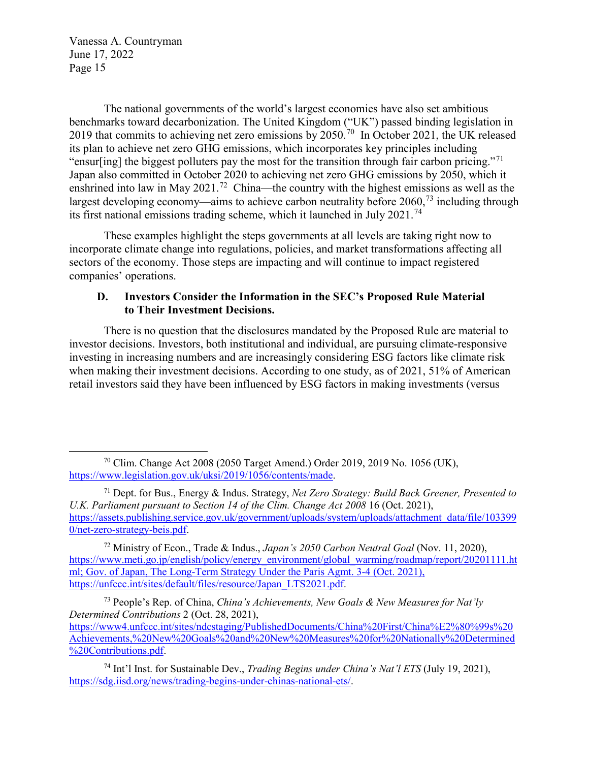$\overline{a}$ 

The national governments of the world's largest economies have also set ambitious benchmarks toward decarbonization. The United Kingdom ("UK") passed binding legislation in 2019 that commits to achieving net zero emissions by  $2050^{70}$  In October 2021, the UK released its plan to achieve net zero GHG emissions, which incorporates key principles including "ensur[ing] the biggest polluters pay the most for the transition through fair carbon pricing."<sup>71</sup> Japan also committed in October 2020 to achieving net zero GHG emissions by 2050, which it enshrined into law in May 2021.<sup>72</sup> China—the country with the highest emissions as well as the largest developing economy—aims to achieve carbon neutrality before 2060,<sup>73</sup> including through its first national emissions trading scheme, which it launched in July 2021.<sup>[74](#page-14-4)</sup>

These examples highlight the steps governments at all levels are taking right now to incorporate climate change into regulations, policies, and market transformations affecting all sectors of the economy. Those steps are impacting and will continue to impact registered companies' operations.

## **D. Investors Consider the Information in the SEC's Proposed Rule Material to Their Investment Decisions.**

There is no question that the disclosures mandated by the Proposed Rule are material to investor decisions. Investors, both institutional and individual, are pursuing climate-responsive investing in increasing numbers and are increasingly considering ESG factors like climate risk when making their investment decisions. According to one study, as of 2021, 51% of American retail investors said they have been influenced by ESG factors in making investments (versus

<span id="page-14-2"></span>72 Ministry of Econ., Trade & Indus., *Japan's 2050 Carbon Neutral Goal* (Nov. 11, 2020), [https://www.meti.go.jp/english/policy/energy\\_environment/global\\_warming/roadmap/report/20201111.ht](https://www.meti.go.jp/english/policy/energy_environment/global_warming/roadmap/report/20201111.html) [ml;](https://www.meti.go.jp/english/policy/energy_environment/global_warming/roadmap/report/20201111.html) Gov. of Japan, The Long-Term Strategy Under the Paris Agmt. 3-4 (Oct. 2021), [https://unfccc.int/sites/default/files/resource/Japan\\_LTS2021.pdf.](https://unfccc.int/sites/default/files/resource/Japan_LTS2021.pdf)

<span id="page-14-3"></span>73 People's Rep. of China, *China's Achievements, New Goals & New Measures for Nat'ly Determined Contributions* 2 (Oct. 28, 2021), [https://www4.unfccc.int/sites/ndcstaging/PublishedDocuments/China%20First/China%E2%80%99s%20](https://www4.unfccc.int/sites/ndcstaging/PublishedDocuments/China%20First/China%E2%80%99s%20Achievements,%20New%20Goals%20and%20New%20Measures%20for%20Nationally%20Determined%20Contributions.pdf) [Achievements,%20New%20Goals%20and%20New%20Measures%20for%20Nationally%20Determined](https://www4.unfccc.int/sites/ndcstaging/PublishedDocuments/China%20First/China%E2%80%99s%20Achievements,%20New%20Goals%20and%20New%20Measures%20for%20Nationally%20Determined%20Contributions.pdf) %20Contributions.pdf

<span id="page-14-0"></span><sup>70</sup> Clim. Change Act 2008 (2050 Target Amend.) Order 2019, 2019 No. 1056 (UK), [https://www.legislation.gov.uk/uksi/2019/1056/contents/made.](https://www.legislation.gov.uk/uksi/2019/1056/contents/made)

<span id="page-14-1"></span><sup>71</sup> Dept. for Bus., Energy & Indus. Strategy, *Net Zero Strategy: Build Back Greener, Presented to U.K. Parliament pursuant to Section 14 of the Clim. Change Act 2008* 16 (Oct. 2021), [https://assets.publishing.service.gov.uk/government/uploads/system/uploads/attachment\\_data/file/103399](https://assets.publishing.service.gov.uk/government/uploads/system/uploads/attachment_data/file/1033990/net-zero-strategy-beis.pdf) [0/net-zero-strategy-beis.pdf.](https://assets.publishing.service.gov.uk/government/uploads/system/uploads/attachment_data/file/1033990/net-zero-strategy-beis.pdf)

<span id="page-14-4"></span><sup>74</sup> Int'l Inst. for Sustainable Dev., *Trading Begins under China's Nat'l ETS* (July 19, 2021), [https://sdg.iisd.org/news/trading-begins-under-chinas-national-ets/.](https://sdg.iisd.org/news/trading-begins-under-chinas-national-ets/)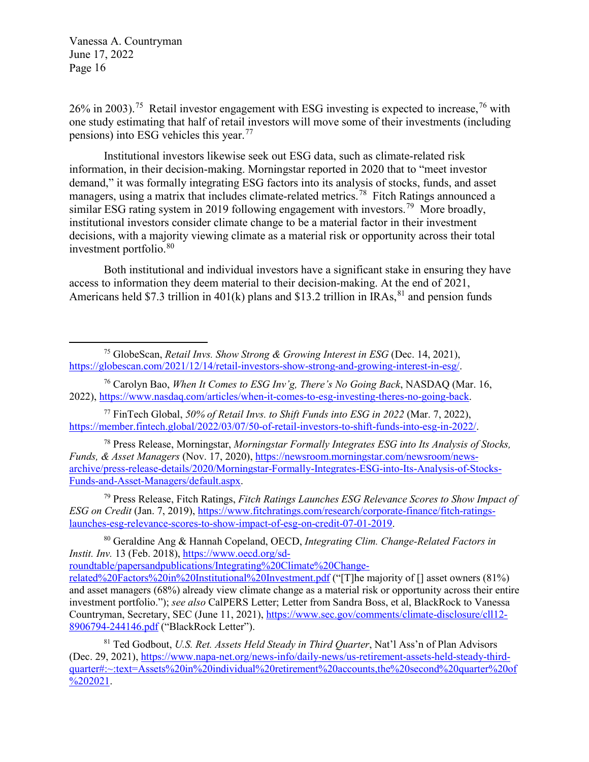$\overline{a}$ 

 $26\%$  in 2003).<sup>[75](#page-15-0)</sup> Retail investor engagement with ESG investing is expected to increase,<sup>[76](#page-15-1)</sup> with one study estimating that half of retail investors will move some of their investments (including pensions) into ESG vehicles this year.[77](#page-15-2)

Institutional investors likewise seek out ESG data, such as climate-related risk information, in their decision-making. Morningstar reported in 2020 that to "meet investor demand," it was formally integrating ESG factors into its analysis of stocks, funds, and asset managers, using a matrix that includes climate-related metrics.<sup>[78](#page-15-3)</sup> Fitch Ratings announced a similar ESG rating system in 2019 following engagement with investors.<sup>79</sup> More broadly, institutional investors consider climate change to be a material factor in their investment decisions, with a majority viewing climate as a material risk or opportunity across their total investment portfolio.<sup>[80](#page-15-5)</sup>

Both institutional and individual investors have a significant stake in ensuring they have access to information they deem material to their decision-making. At the end of 2021, Americans held \$7.3 trillion in 401(k) plans and \$13.2 trillion in IRAs,  $^{81}$  $^{81}$  $^{81}$  and pension funds

<span id="page-15-2"></span>77 FinTech Global, *50% of Retail Invs. to Shift Funds into ESG in 2022* (Mar. 7, 2022), [https://member.fintech.global/2022/03/07/50-of-retail-investors-to-shift-funds-into-esg-in-2022/.](https://member.fintech.global/2022/03/07/50-of-retail-investors-to-shift-funds-into-esg-in-2022/)

<span id="page-15-3"></span><sup>78</sup> Press Release, Morningstar, *Morningstar Formally Integrates ESG into Its Analysis of Stocks, Funds, & Asset Managers* (Nov. 17, 2020), [https://newsroom.morningstar.com/newsroom/news](https://newsroom.morningstar.com/newsroom/news-archive/press-release-details/2020/Morningstar-Formally-Integrates-ESG-into-Its-Analysis-of-Stocks-Funds-and-Asset-Managers/default.aspx)[archive/press-release-details/2020/Morningstar-Formally-Integrates-ESG-into-Its-Analysis-of-Stocks-](https://newsroom.morningstar.com/newsroom/news-archive/press-release-details/2020/Morningstar-Formally-Integrates-ESG-into-Its-Analysis-of-Stocks-Funds-and-Asset-Managers/default.aspx)[Funds-and-Asset-Managers/default.aspx.](https://newsroom.morningstar.com/newsroom/news-archive/press-release-details/2020/Morningstar-Formally-Integrates-ESG-into-Its-Analysis-of-Stocks-Funds-and-Asset-Managers/default.aspx)

<span id="page-15-4"></span><sup>79</sup> Press Release, Fitch Ratings, *Fitch Ratings Launches ESG Relevance Scores to Show Impact of ESG on Credit* (Jan. 7, 2019), [https://www.fitchratings.com/research/corporate-finance/fitch-ratings](https://www.fitchratings.com/research/corporate-finance/fitch-ratings-launches-esg-relevance-scores-to-show-impact-of-esg-on-credit-07-01-2019)[launches-esg-relevance-scores-to-show-impact-of-esg-on-credit-07-01-2019.](https://www.fitchratings.com/research/corporate-finance/fitch-ratings-launches-esg-relevance-scores-to-show-impact-of-esg-on-credit-07-01-2019)

<span id="page-15-5"></span>80 Geraldine Ang & Hannah Copeland, OECD, *Integrating Clim. Change-Related Factors in Instit. Inv.* 13 (Feb. 2018), [https://www.oecd.org/sd](https://www.oecd.org/sd-roundtable/papersandpublications/Integrating%20Climate%20Change-related%20Factors%20in%20Institutional%20Investment.pdf)[roundtable/papersandpublications/Integrating%20Climate%20Change-](https://www.oecd.org/sd-roundtable/papersandpublications/Integrating%20Climate%20Change-related%20Factors%20in%20Institutional%20Investment.pdf)

<span id="page-15-0"></span><sup>75</sup> GlobeScan, *Retail Invs. Show Strong & Growing Interest in ESG* (Dec. 14, 2021), [https://globescan.com/2021/12/14/retail-investors-show-strong-and-growing-interest-in-esg/.](https://globescan.com/2021/12/14/retail-investors-show-strong-and-growing-interest-in-esg/)

<span id="page-15-1"></span><sup>76</sup> Carolyn Bao, *When It Comes to ESG Inv'g, There's No Going Back*, NASDAQ (Mar. 16, 2022), [https://www.nasdaq.com/articles/when-it-comes-to-esg-investing-theres-no-going-back.](https://www.nasdaq.com/articles/when-it-comes-to-esg-investing-theres-no-going-back)

[related%20Factors%20in%20Institutional%20Investment.pdf](https://www.oecd.org/sd-roundtable/papersandpublications/Integrating%20Climate%20Change-related%20Factors%20in%20Institutional%20Investment.pdf) ("[T]he majority of [] asset owners (81%) and asset managers (68%) already view climate change as a material risk or opportunity across their entire investment portfolio."); *see also* CalPERS Letter; Letter from Sandra Boss, et al, BlackRock to Vanessa Countryman, Secretary, SEC (June 11, 2021)[, https://www.sec.gov/comments/climate-disclosure/cll12-](https://www.sec.gov/comments/climate-disclosure/cll12-8906794-244146.pdf) [8906794-244146.pdf](https://www.sec.gov/comments/climate-disclosure/cll12-8906794-244146.pdf) ("BlackRock Letter").

<span id="page-15-6"></span><sup>81</sup> Ted Godbout, *U.S. Ret. Assets Held Steady in Third Quarter*, Nat'l Ass'n of Plan Advisors (Dec. 29, 2021), [https://www.napa-net.org/news-info/daily-news/us-retirement-assets-held-steady-third](https://www.napa-net.org/news-info/daily-news/us-retirement-assets-held-steady-third-quarter#:%7E:text=Assets%20in%20individual%20retirement%20accounts,the%20second%20quarter%20of%202021)[quarter#:~:text=Assets%20in%20individual%20retirement%20accounts,the%20second%20quarter%20of](https://www.napa-net.org/news-info/daily-news/us-retirement-assets-held-steady-third-quarter#:%7E:text=Assets%20in%20individual%20retirement%20accounts,the%20second%20quarter%20of%202021) [%202021.](https://www.napa-net.org/news-info/daily-news/us-retirement-assets-held-steady-third-quarter#:%7E:text=Assets%20in%20individual%20retirement%20accounts,the%20second%20quarter%20of%202021)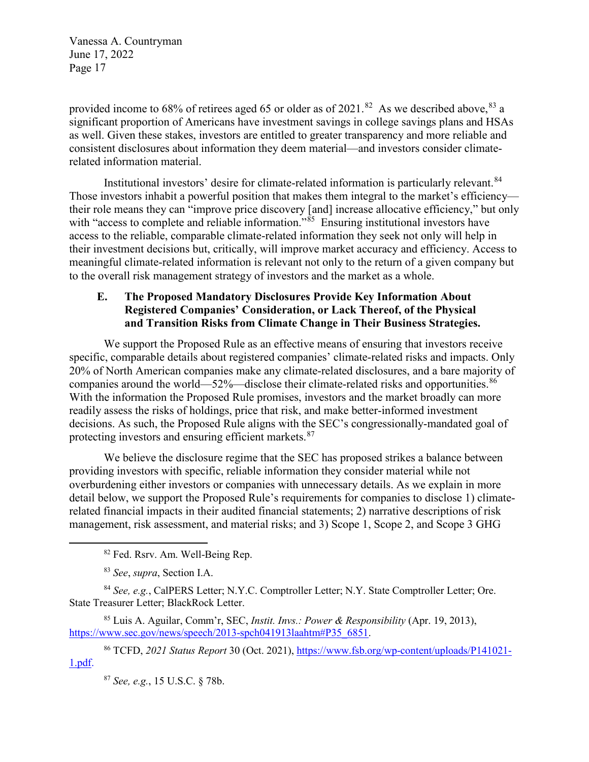provided income to 68% of retirees aged 65 or older as of 2021.<sup>82</sup> As we described above, <sup>[83](#page-16-1)</sup> a significant proportion of Americans have investment savings in college savings plans and HSAs as well. Given these stakes, investors are entitled to greater transparency and more reliable and consistent disclosures about information they deem material—and investors consider climaterelated information material.

Institutional investors' desire for climate-related information is particularly relevant.<sup>[84](#page-16-2)</sup> Those investors inhabit a powerful position that makes them integral to the market's efficiency their role means they can "improve price discovery [and] increase allocative efficiency," but only with "access to complete and reliable information."<sup>85</sup> Ensuring institutional investors have access to the reliable, comparable climate-related information they seek not only will help in their investment decisions but, critically, will improve market accuracy and efficiency. Access to meaningful climate-related information is relevant not only to the return of a given company but to the overall risk management strategy of investors and the market as a whole.

## **E. The Proposed Mandatory Disclosures Provide Key Information About Registered Companies' Consideration, or Lack Thereof, of the Physical and Transition Risks from Climate Change in Their Business Strategies.**

We support the Proposed Rule as an effective means of ensuring that investors receive specific, comparable details about registered companies' climate-related risks and impacts. Only 20% of North American companies make any climate-related disclosures, and a bare majority of companies around the world—52%—disclose their climate-related risks and opportunities. $86$ With the information the Proposed Rule promises, investors and the market broadly can more readily assess the risks of holdings, price that risk, and make better-informed investment decisions. As such, the Proposed Rule aligns with the SEC's congressionally-mandated goal of protecting investors and ensuring efficient markets.<sup>[87](#page-16-5)</sup>

We believe the disclosure regime that the SEC has proposed strikes a balance between providing investors with specific, reliable information they consider material while not overburdening either investors or companies with unnecessary details. As we explain in more detail below, we support the Proposed Rule's requirements for companies to disclose 1) climaterelated financial impacts in their audited financial statements; 2) narrative descriptions of risk management, risk assessment, and material risks; and 3) Scope 1, Scope 2, and Scope 3 GHG

<span id="page-16-0"></span> $\overline{a}$ 

<span id="page-16-2"></span><span id="page-16-1"></span><sup>84</sup> *See, e.g.*, CalPERS Letter; N.Y.C. Comptroller Letter; N.Y. State Comptroller Letter; Ore. State Treasurer Letter; BlackRock Letter.

<span id="page-16-3"></span>85 Luis A. Aguilar, Comm'r, SEC, *Instit. Invs.: Power & Responsibility* (Apr. 19, 2013), [https://www.sec.gov/news/speech/2013-spch041913laahtm#P35\\_6851.](https://www.sec.gov/news/speech/2013-spch041913laahtm#P35_6851)

<span id="page-16-5"></span><span id="page-16-4"></span><sup>86</sup> TCFD, *2021 Status Report* 30 (Oct. 2021), [https://www.fsb.org/wp-content/uploads/P141021-](https://www.fsb.org/wp-content/uploads/P141021-1.pdf) [1.pdf.](https://www.fsb.org/wp-content/uploads/P141021-1.pdf)

<sup>87</sup> *See, e.g.*, 15 U.S.C. § 78b.

<sup>82</sup> Fed. Rsrv. Am. Well-Being Rep.

<sup>83</sup> *See*, *supra*, Section I.A.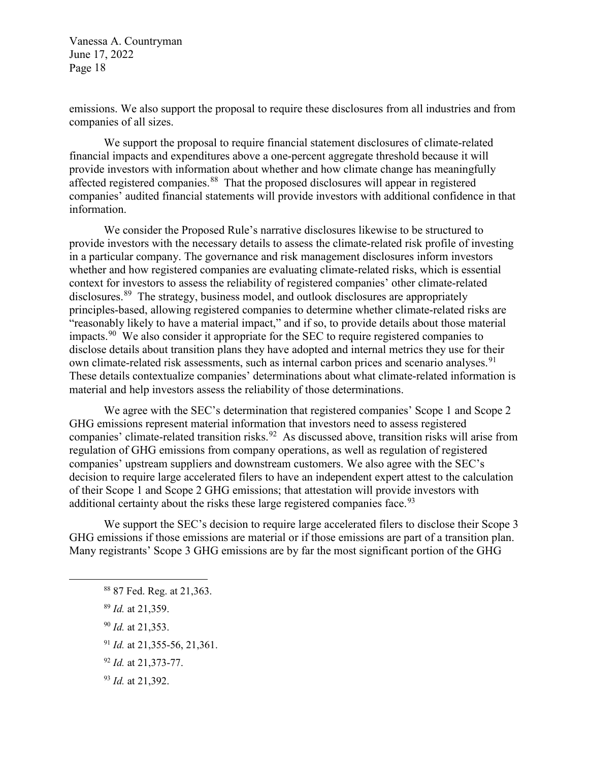emissions. We also support the proposal to require these disclosures from all industries and from companies of all sizes.

We support the proposal to require financial statement disclosures of climate-related financial impacts and expenditures above a one-percent aggregate threshold because it will provide investors with information about whether and how climate change has meaningfully affected registered companies.<sup>88</sup> That the proposed disclosures will appear in registered companies' audited financial statements will provide investors with additional confidence in that information.

We consider the Proposed Rule's narrative disclosures likewise to be structured to provide investors with the necessary details to assess the climate-related risk profile of investing in a particular company. The governance and risk management disclosures inform investors whether and how registered companies are evaluating climate-related risks, which is essential context for investors to assess the reliability of registered companies' other climate-related disclosures.<sup>[89](#page-17-1)</sup> The strategy, business model, and outlook disclosures are appropriately principles-based, allowing registered companies to determine whether climate-related risks are "reasonably likely to have a material impact," and if so, to provide details about those material impacts.<sup>90</sup> We also consider it appropriate for the SEC to require registered companies to disclose details about transition plans they have adopted and internal metrics they use for their own climate-related risk assessments, such as internal carbon prices and scenario analyses.<sup>[91](#page-17-3)</sup> These details contextualize companies' determinations about what climate-related information is material and help investors assess the reliability of those determinations.

We agree with the SEC's determination that registered companies' Scope 1 and Scope 2 GHG emissions represent material information that investors need to assess registered companies' climate-related transition risks.<sup>92</sup> As discussed above, transition risks will arise from regulation of GHG emissions from company operations, as well as regulation of registered companies' upstream suppliers and downstream customers. We also agree with the SEC's decision to require large accelerated filers to have an independent expert attest to the calculation of their Scope 1 and Scope 2 GHG emissions; that attestation will provide investors with additional certainty about the risks these large registered companies face.  $93$ 

We support the SEC's decision to require large accelerated filers to disclose their Scope 3 GHG emissions if those emissions are material or if those emissions are part of a transition plan. Many registrants' Scope 3 GHG emissions are by far the most significant portion of the GHG

<sup>89</sup> *Id.* at 21,359.

<span id="page-17-3"></span><span id="page-17-2"></span><span id="page-17-1"></span><span id="page-17-0"></span> $\overline{a}$ 

- <sup>90</sup> *Id.* at 21,353.
- <sup>91</sup> *Id.* at 21,355-56, 21,361.
- <span id="page-17-4"></span><sup>92</sup> *Id.* at 21,373-77.
- <span id="page-17-5"></span><sup>93</sup> *Id.* at 21,392.

<sup>88</sup> 87 Fed. Reg. at 21,363.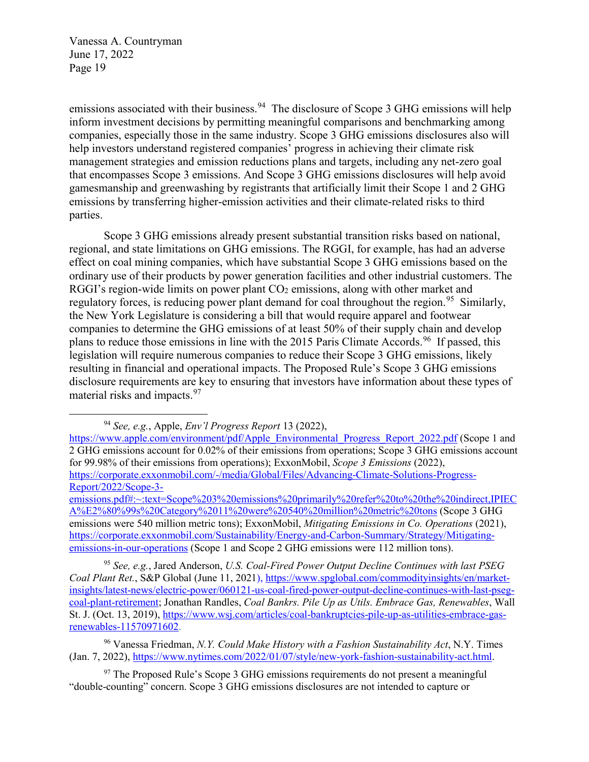$\overline{a}$ 

emissions associated with their business.<sup>[94](#page-18-0)</sup> The disclosure of Scope 3 GHG emissions will help inform investment decisions by permitting meaningful comparisons and benchmarking among companies, especially those in the same industry. Scope 3 GHG emissions disclosures also will help investors understand registered companies' progress in achieving their climate risk management strategies and emission reductions plans and targets, including any net-zero goal that encompasses Scope 3 emissions. And Scope 3 GHG emissions disclosures will help avoid gamesmanship and greenwashing by registrants that artificially limit their Scope 1 and 2 GHG emissions by transferring higher-emission activities and their climate-related risks to third parties.

Scope 3 GHG emissions already present substantial transition risks based on national, regional, and state limitations on GHG emissions. The RGGI, for example, has had an adverse effect on coal mining companies, which have substantial Scope 3 GHG emissions based on the ordinary use of their products by power generation facilities and other industrial customers. The RGGI's region-wide limits on power plant  $CO<sub>2</sub>$  emissions, along with other market and regulatory forces, is reducing power plant demand for coal throughout the region.<sup>[95](#page-18-1)</sup> Similarly, the New York Legislature is considering a bill that would require apparel and footwear companies to determine the GHG emissions of at least 50% of their supply chain and develop plans to reduce those emissions in line with the 2015 Paris Climate Accords.<sup>[96](#page-18-2)</sup> If passed, this legislation will require numerous companies to reduce their Scope 3 GHG emissions, likely resulting in financial and operational impacts. The Proposed Rule's Scope 3 GHG emissions disclosure requirements are key to ensuring that investors have information about these types of material risks and impacts.<sup>[97](#page-18-3)</sup>

<sup>94</sup> *See, e.g.*, Apple, *Env'l Progress Report* 13 (2022),

<span id="page-18-0"></span>[https://www.apple.com/environment/pdf/Apple\\_Environmental\\_Progress\\_Report\\_2022.pdf](https://www.apple.com/environment/pdf/Apple_Environmental_Progress_Report_2022.pdf) (Scope 1 and 2 GHG emissions account for 0.02% of their emissions from operations; Scope 3 GHG emissions account for 99.98% of their emissions from operations); ExxonMobil, *Scope 3 Emissions* (2022), [https://corporate.exxonmobil.com/-/media/Global/Files/Advancing-Climate-Solutions-Progress-](https://corporate.exxonmobil.com/-/media/Global/Files/Advancing-Climate-Solutions-Progress-Report/2022/Scope-3-emissions.pdf#:%7E:text=Scope%203%20emissions%20primarily%20refer%20to%20the%20indirect,IPIECA%E2%80%99s%20Category%2011%20were%20540%20million%20metric%20tons)[Report/2022/Scope-3-](https://corporate.exxonmobil.com/-/media/Global/Files/Advancing-Climate-Solutions-Progress-Report/2022/Scope-3-emissions.pdf#:%7E:text=Scope%203%20emissions%20primarily%20refer%20to%20the%20indirect,IPIECA%E2%80%99s%20Category%2011%20were%20540%20million%20metric%20tons)

[emissions.pdf#:~:text=Scope%203%20emissions%20primarily%20refer%20to%20the%20indirect,IPIEC](https://corporate.exxonmobil.com/-/media/Global/Files/Advancing-Climate-Solutions-Progress-Report/2022/Scope-3-emissions.pdf#:%7E:text=Scope%203%20emissions%20primarily%20refer%20to%20the%20indirect,IPIECA%E2%80%99s%20Category%2011%20were%20540%20million%20metric%20tons) [A%E2%80%99s%20Category%2011%20were%20540%20million%20metric%20tons](https://corporate.exxonmobil.com/-/media/Global/Files/Advancing-Climate-Solutions-Progress-Report/2022/Scope-3-emissions.pdf#:%7E:text=Scope%203%20emissions%20primarily%20refer%20to%20the%20indirect,IPIECA%E2%80%99s%20Category%2011%20were%20540%20million%20metric%20tons) (Scope 3 GHG emissions were 540 million metric tons); ExxonMobil, *Mitigating Emissions in Co. Operations* (2021), [https://corporate.exxonmobil.com/Sustainability/Energy-and-Carbon-Summary/Strategy/Mitigating](https://corporate.exxonmobil.com/Sustainability/Energy-and-Carbon-Summary/Strategy/Mitigating-emissions-in-our-operations)[emissions-in-our-operations](https://corporate.exxonmobil.com/Sustainability/Energy-and-Carbon-Summary/Strategy/Mitigating-emissions-in-our-operations) (Scope 1 and Scope 2 GHG emissions were 112 million tons).

<span id="page-18-1"></span><sup>95</sup> *See, e.g.*, Jared Anderson, *U.S. Coal-Fired Power Output Decline Continues with last PSEG Coal Plant Ret.*, S&P Global (June 11, 2021), [https://www.spglobal.com/commodityinsights/en/market](https://www.spglobal.com/commodityinsights/en/market-insights/latest-news/electric-power/060121-us-coal-fired-power-output-decline-continues-with-last-pseg-coal-plant-retirement)[insights/latest-news/electric-power/060121-us-coal-fired-power-output-decline-continues-with-last-pseg](https://www.spglobal.com/commodityinsights/en/market-insights/latest-news/electric-power/060121-us-coal-fired-power-output-decline-continues-with-last-pseg-coal-plant-retirement)[coal-plant-retirement;](https://www.spglobal.com/commodityinsights/en/market-insights/latest-news/electric-power/060121-us-coal-fired-power-output-decline-continues-with-last-pseg-coal-plant-retirement) Jonathan Randles, *Coal Bankrs. Pile Up as Utils. Embrace Gas, Renewables*, Wall St. J. (Oct. 13, 2019), [https://www.wsj.com/articles/coal-bankruptcies-pile-up-as-utilities-embrace-gas](https://www.wsj.com/articles/coal-bankruptcies-pile-up-as-utilities-embrace-gas-renewables-11570971602)[renewables-11570971602.](https://www.wsj.com/articles/coal-bankruptcies-pile-up-as-utilities-embrace-gas-renewables-11570971602)

<span id="page-18-2"></span><sup>96</sup> Vanessa Friedman, *N.Y. Could Make History with a Fashion Sustainability Act*, N.Y. Times (Jan. 7, 2022), [https://www.nytimes.com/2022/01/07/style/new-york-fashion-sustainability-act.html.](https://www.nytimes.com/2022/01/07/style/new-york-fashion-sustainability-act.html)

<span id="page-18-3"></span> $97$  The Proposed Rule's Scope 3 GHG emissions requirements do not present a meaningful "double-counting" concern. Scope 3 GHG emissions disclosures are not intended to capture or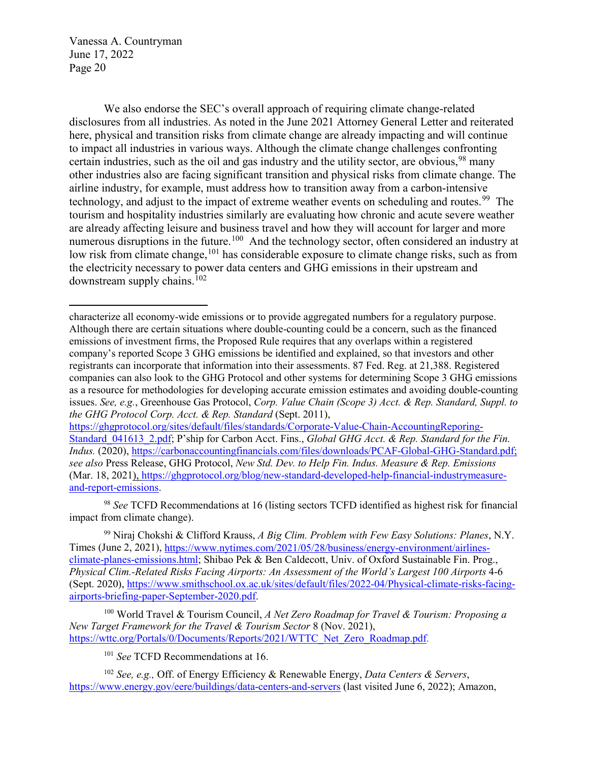$\overline{a}$ 

We also endorse the SEC's overall approach of requiring climate change-related disclosures from all industries. As noted in the June 2021 Attorney General Letter and reiterated here, physical and transition risks from climate change are already impacting and will continue to impact all industries in various ways. Although the climate change challenges confronting certain industries, such as the oil and gas industry and the utility sector, are obvious,  $98$  many other industries also are facing significant transition and physical risks from climate change. The airline industry, for example, must address how to transition away from a carbon-intensive technology, and adjust to the impact of extreme weather events on scheduling and routes.<sup>99</sup> The tourism and hospitality industries similarly are evaluating how chronic and acute severe weather are already affecting leisure and business travel and how they will account for larger and more numerous disruptions in the future.<sup>[100](#page-19-2)</sup> And the technology sector, often considered an industry at low risk from climate change,<sup>[101](#page-19-3)</sup> has considerable exposure to climate change risks, such as from the electricity necessary to power data centers and GHG emissions in their upstream and downstream supply chains.[102](#page-19-4)

<span id="page-19-0"></span><sup>98</sup> *See* TCFD Recommendations at 16 (listing sectors TCFD identified as highest risk for financial impact from climate change).

<span id="page-19-1"></span>99 Niraj Chokshi & Clifford Krauss, *A Big Clim. Problem with Few Easy Solutions: Planes*, N.Y. Times (June 2, 2021), [https://www.nytimes.com/2021/05/28/business/energy-environment/airlines](https://www.nytimes.com/2021/05/28/business/energy-environment/airlines-climate-planes-emissions.html)[climate-planes-emissions.html;](https://www.nytimes.com/2021/05/28/business/energy-environment/airlines-climate-planes-emissions.html) Shibao Pek & Ben Caldecott, Univ. of Oxford Sustainable Fin. Prog., *Physical Clim.-Related Risks Facing Airports: An Assessment of the World's Largest 100 Airports* 4-6 (Sept. 2020), [https://www.smithschool.ox.ac.uk/sites/default/files/2022-04/Physical-climate-risks-facing](https://www.smithschool.ox.ac.uk/sites/default/files/2022-04/Physical-climate-risks-facing-airports-briefing-paper-September-2020.pdf)[airports-briefing-paper-September-2020.pdf.](https://www.smithschool.ox.ac.uk/sites/default/files/2022-04/Physical-climate-risks-facing-airports-briefing-paper-September-2020.pdf)

<span id="page-19-2"></span><sup>100</sup> World Travel & Tourism Council, *A Net Zero Roadmap for Travel & Tourism: Proposing a New Target Framework for the Travel & Tourism Sector* 8 (Nov. 2021), [https://wttc.org/Portals/0/Documents/Reports/2021/WTTC\\_Net\\_Zero\\_Roadmap.pdf.](https://wttc.org/Portals/0/Documents/Reports/2021/WTTC_Net_Zero_Roadmap.pdf)

<sup>101</sup> See TCFD Recommendations at 16.

<span id="page-19-4"></span><span id="page-19-3"></span><sup>102</sup> *See, e.g.,* Off. of Energy Efficiency & Renewable Energy, *Data Centers & Servers*, <https://www.energy.gov/eere/buildings/data-centers-and-servers> (last visited June 6, 2022); Amazon,

characterize all economy-wide emissions or to provide aggregated numbers for a regulatory purpose. Although there are certain situations where double-counting could be a concern, such as the financed emissions of investment firms, the Proposed Rule requires that any overlaps within a registered company's reported Scope 3 GHG emissions be identified and explained, so that investors and other registrants can incorporate that information into their assessments. 87 Fed. Reg. at 21,388. Registered companies can also look to the GHG Protocol and other systems for determining Scope 3 GHG emissions as a resource for methodologies for developing accurate emission estimates and avoiding double-counting issues. *See, e.g.*, Greenhouse Gas Protocol, *Corp. Value Chain (Scope 3) Acct. & Rep. Standard, Suppl. to the GHG Protocol Corp. Acct. & Rep. Standard* (Sept. 2011),

[https://ghgprotocol.org/sites/default/files/standards/Corporate-Value-Chain-AccountingReporing-](https://ghgprotocol.org/sites/default/files/standards/Corporate-Value-Chain-AccountingReporing-Standard_041613_2.pdf)[Standard\\_041613\\_2.pdf;](https://ghgprotocol.org/sites/default/files/standards/Corporate-Value-Chain-AccountingReporing-Standard_041613_2.pdf) P'ship for Carbon Acct. Fins., *Global GHG Acct. & Rep. Standard for the Fin. Indus.* (2020), [https://carbonaccountingfinancials.com/files/downloads/PCAF-Global-GHG-Standard.pdf;](https://carbonaccountingfinancials.com/files/downloads/PCAF-Global-GHG-Standard.pdf) *see also* Press Release, GHG Protocol, *New Std. Dev. to Help Fin. Indus. Measure & Rep. Emissions* (Mar. 18, 2021), [https://ghgprotocol.org/blog/new-standard-developed-help-financial-industrymeasure](https://ghgprotocol.org/blog/new-standard-developed-help-financial-industrymeasure-and-report-emissions)[and-report-emissions.](https://ghgprotocol.org/blog/new-standard-developed-help-financial-industrymeasure-and-report-emissions)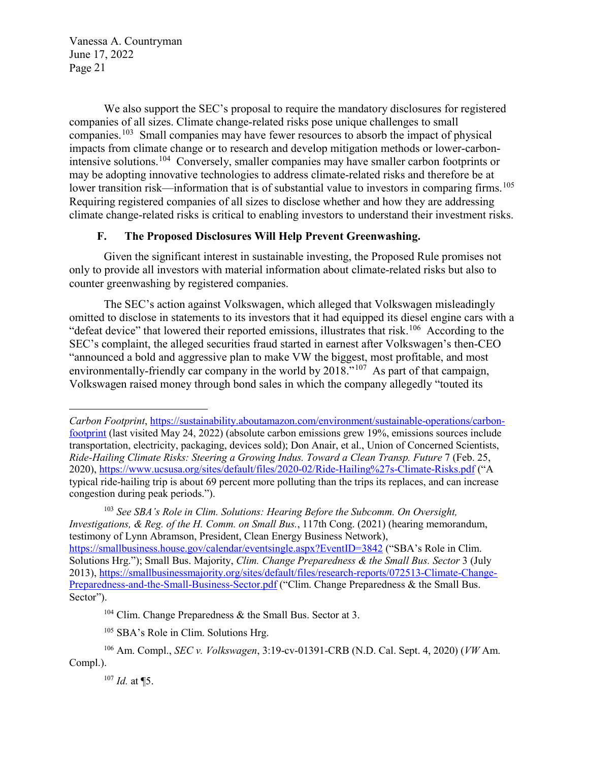We also support the SEC's proposal to require the mandatory disclosures for registered companies of all sizes. Climate change-related risks pose unique challenges to small companies.[103](#page-20-0) Small companies may have fewer resources to absorb the impact of physical impacts from climate change or to research and develop mitigation methods or lower-carbonintensive solutions.[104](#page-20-1) Conversely, smaller companies may have smaller carbon footprints or may be adopting innovative technologies to address climate-related risks and therefore be at lower transition risk—information that is of substantial value to investors in comparing firms.<sup>[105](#page-20-2)</sup> Requiring registered companies of all sizes to disclose whether and how they are addressing climate change-related risks is critical to enabling investors to understand their investment risks.

## **F. The Proposed Disclosures Will Help Prevent Greenwashing.**

Given the significant interest in sustainable investing, the Proposed Rule promises not only to provide all investors with material information about climate-related risks but also to counter greenwashing by registered companies.

The SEC's action against Volkswagen, which alleged that Volkswagen misleadingly omitted to disclose in statements to its investors that it had equipped its diesel engine cars with a "defeat device" that lowered their reported emissions, illustrates that risk.<sup>106</sup> According to the SEC's complaint, the alleged securities fraud started in earnest after Volkswagen's then-CEO "announced a bold and aggressive plan to make VW the biggest, most profitable, and most environmentally-friendly car company in the world by  $2018.^{107}$  $2018.^{107}$  $2018.^{107}$  As part of that campaign, Volkswagen raised money through bond sales in which the company allegedly "touted its

 $\overline{a}$ 

*Carbon Footprint*, [https://sustainability.aboutamazon.com/environment/sustainable-operations/carbon](https://sustainability.aboutamazon.com/environment/sustainable-operations/carbon-footprint)[footprint](https://sustainability.aboutamazon.com/environment/sustainable-operations/carbon-footprint) (last visited May 24, 2022) (absolute carbon emissions grew 19%, emissions sources include transportation, electricity, packaging, devices sold); Don Anair, et al., Union of Concerned Scientists, *Ride-Hailing Climate Risks: Steering a Growing Indus. Toward a Clean Transp. Future* 7 (Feb. 25, 2020),<https://www.ucsusa.org/sites/default/files/2020-02/Ride-Hailing%27s-Climate-Risks.pdf> ("A typical ride-hailing trip is about 69 percent more polluting than the trips its replaces, and can increase congestion during peak periods.").

<span id="page-20-0"></span><sup>103</sup> *See SBA's Role in Clim. Solutions: Hearing Before the Subcomm. On Oversight, Investigations, & Reg. of the H. Comm. on Small Bus.*, 117th Cong. (2021) (hearing memorandum, testimony of Lynn Abramson, President, Clean Energy Business Network), <https://smallbusiness.house.gov/calendar/eventsingle.aspx?EventID=3842> ("SBA's Role in Clim. Solutions Hrg."); Small Bus. Majority, *Clim. Change Preparedness & the Small Bus. Sector* 3 (July 2013), [https://smallbusinessmajority.org/sites/default/files/research-reports/072513-Climate-Change-](https://smallbusinessmajority.org/sites/default/files/research-reports/072513-Climate-Change-Preparedness-and-the-Small-Business-Sector.pdf)[Preparedness-and-the-Small-Business-Sector.pdf](https://smallbusinessmajority.org/sites/default/files/research-reports/072513-Climate-Change-Preparedness-and-the-Small-Business-Sector.pdf) ("Clim. Change Preparedness & the Small Bus. Sector").

<sup>&</sup>lt;sup>104</sup> Clim. Change Preparedness & the Small Bus. Sector at 3.

<sup>&</sup>lt;sup>105</sup> SBA's Role in Clim. Solutions Hrg.

<span id="page-20-4"></span><span id="page-20-3"></span><span id="page-20-2"></span><span id="page-20-1"></span><sup>106</sup> Am. Compl., *SEC v. Volkswagen*, 3:19-cv-01391-CRB (N.D. Cal. Sept. 4, 2020) (*VW* Am. Compl.).

<sup>107</sup> *Id.* at ¶5.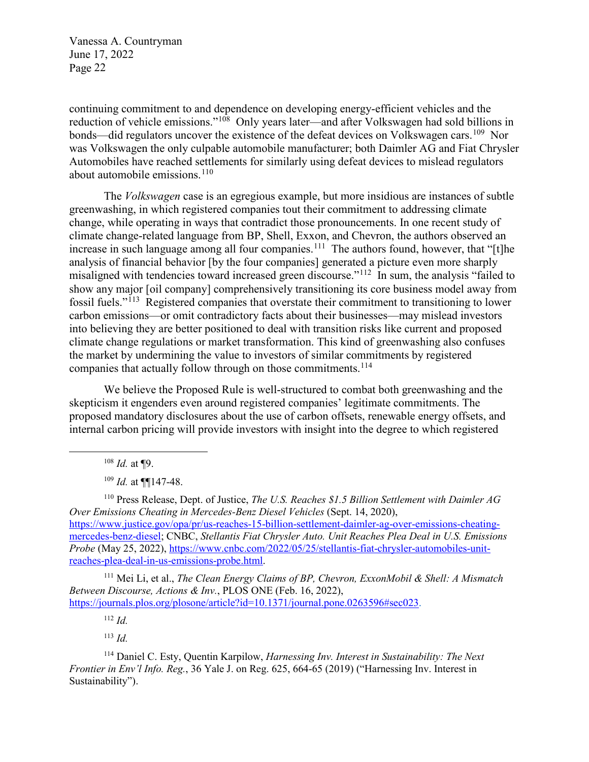continuing commitment to and dependence on developing energy-efficient vehicles and the reduction of vehicle emissions."[108](#page-21-0) Only years later—and after Volkswagen had sold billions in bonds—did regulators uncover the existence of the defeat devices on Volkswagen cars.<sup>[109](#page-21-1)</sup> Nor was Volkswagen the only culpable automobile manufacturer; both Daimler AG and Fiat Chrysler Automobiles have reached settlements for similarly using defeat devices to mislead regulators about automobile emissions.<sup>110</sup>

The *Volkswagen* case is an egregious example, but more insidious are instances of subtle greenwashing, in which registered companies tout their commitment to addressing climate change, while operating in ways that contradict those pronouncements. In one recent study of climate change-related language from BP, Shell, Exxon, and Chevron, the authors observed an increase in such language among all four companies.<sup>111</sup> The authors found, however, that "[t]he analysis of financial behavior [by the four companies] generated a picture even more sharply misaligned with tendencies toward increased green discourse."[112](#page-21-4) In sum, the analysis "failed to show any major [oil company] comprehensively transitioning its core business model away from fossil fuels."[113](#page-21-5) Registered companies that overstate their commitment to transitioning to lower carbon emissions—or omit contradictory facts about their businesses—may mislead investors into believing they are better positioned to deal with transition risks like current and proposed climate change regulations or market transformation. This kind of greenwashing also confuses the market by undermining the value to investors of similar commitments by registered companies that actually follow through on those commitments.<sup>[114](#page-21-6)</sup>

We believe the Proposed Rule is well-structured to combat both greenwashing and the skepticism it engenders even around registered companies' legitimate commitments. The proposed mandatory disclosures about the use of carbon offsets, renewable energy offsets, and internal carbon pricing will provide investors with insight into the degree to which registered

<sup>108</sup> *Id.* at ¶9.

<span id="page-21-0"></span> $\overline{a}$ 

<sup>109</sup> *Id.* at ¶¶147-48.

<span id="page-21-2"></span><span id="page-21-1"></span><sup>110</sup> Press Release, Dept. of Justice, *The U.S. Reaches \$1.5 Billion Settlement with Daimler AG Over Emissions Cheating in Mercedes-Benz Diesel Vehicles* (Sept. 14, 2020), [https://www.justice.gov/opa/pr/us-reaches-15-billion-settlement-daimler-ag-over-emissions-cheating](https://www.justice.gov/opa/pr/us-reaches-15-billion-settlement-daimler-ag-over-emissions-cheating-mercedes-benz-diesel)[mercedes-benz-diesel;](https://www.justice.gov/opa/pr/us-reaches-15-billion-settlement-daimler-ag-over-emissions-cheating-mercedes-benz-diesel) CNBC, *Stellantis Fiat Chrysler Auto. Unit Reaches Plea Deal in U.S. Emissions Probe* (May 25, 2022), [https://www.cnbc.com/2022/05/25/stellantis-fiat-chrysler-automobiles-unit](https://www.cnbc.com/2022/05/25/stellantis-fiat-chrysler-automobiles-unit-reaches-plea-deal-in-us-emissions-probe.html)[reaches-plea-deal-in-us-emissions-probe.html.](https://www.cnbc.com/2022/05/25/stellantis-fiat-chrysler-automobiles-unit-reaches-plea-deal-in-us-emissions-probe.html) 

<span id="page-21-3"></span><sup>111</sup> Mei Li, et al., *The Clean Energy Claims of BP, Chevron, ExxonMobil & Shell: A Mismatch Between Discourse, Actions & Inv.*, PLOS ONE (Feb. 16, 2022), [https://journals.plos.org/plosone/article?id=10.1371/journal.pone.0263596#sec023.](https://journals.plos.org/plosone/article?id=10.1371/journal.pone.0263596#sec023)

<sup>112</sup> *Id.*

<sup>113</sup> *Id.*

<span id="page-21-6"></span><span id="page-21-5"></span><span id="page-21-4"></span>114 Daniel C. Esty, Quentin Karpilow, *Harnessing Inv. Interest in Sustainability: The Next Frontier in Env'l Info. Reg.*, 36 Yale J. on Reg. 625, 664-65 (2019) ("Harnessing Inv. Interest in Sustainability").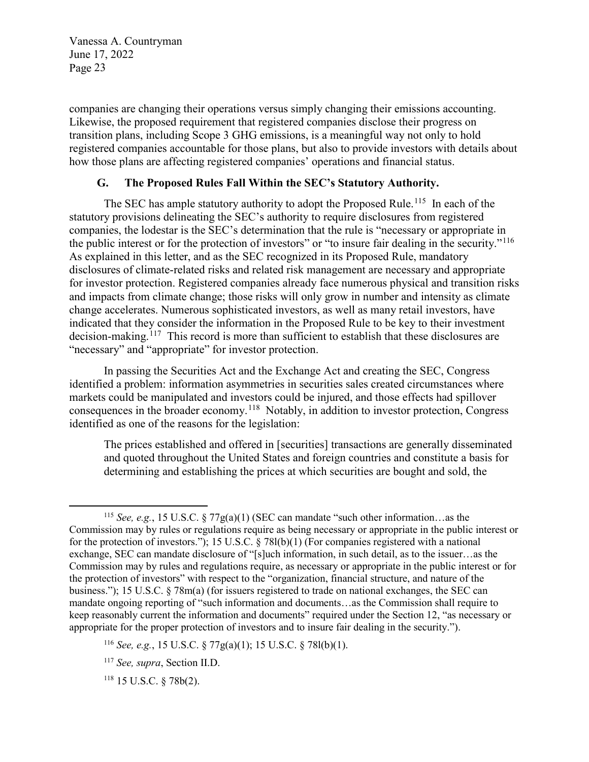companies are changing their operations versus simply changing their emissions accounting. Likewise, the proposed requirement that registered companies disclose their progress on transition plans, including Scope 3 GHG emissions, is a meaningful way not only to hold registered companies accountable for those plans, but also to provide investors with details about how those plans are affecting registered companies' operations and financial status.

#### **G. The Proposed Rules Fall Within the SEC's Statutory Authority.**

The SEC has ample statutory authority to adopt the Proposed Rule.<sup>[115](#page-22-0)</sup> In each of the statutory provisions delineating the SEC's authority to require disclosures from registered companies, the lodestar is the SEC's determination that the rule is "necessary or appropriate in the public interest or for the protection of investors" or "to insure fair dealing in the security."<sup>116</sup> As explained in this letter, and as the SEC recognized in its Proposed Rule, mandatory disclosures of climate-related risks and related risk management are necessary and appropriate for investor protection. Registered companies already face numerous physical and transition risks and impacts from climate change; those risks will only grow in number and intensity as climate change accelerates. Numerous sophisticated investors, as well as many retail investors, have indicated that they consider the information in the Proposed Rule to be key to their investment decision-making.<sup>117</sup> This record is more than sufficient to establish that these disclosures are "necessary" and "appropriate" for investor protection.

In passing the Securities Act and the Exchange Act and creating the SEC, Congress identified a problem: information asymmetries in securities sales created circumstances where markets could be manipulated and investors could be injured, and those effects had spillover consequences in the broader economy.[118](#page-22-3) Notably, in addition to investor protection, Congress identified as one of the reasons for the legislation:

The prices established and offered in [securities] transactions are generally disseminated and quoted throughout the United States and foreign countries and constitute a basis for determining and establishing the prices at which securities are bought and sold, the

<span id="page-22-3"></span><sup>118</sup> 15 U.S.C. § 78b(2).

<span id="page-22-0"></span> $\overline{a}$ <sup>115</sup> *See, e.g.*, 15 U.S.C. § 77g(a)(1) (SEC can mandate "such other information…as the Commission may by rules or regulations require as being necessary or appropriate in the public interest or for the protection of investors."); 15 U.S.C. § 78l(b)(1) (For companies registered with a national exchange, SEC can mandate disclosure of "[s]uch information, in such detail, as to the issuer…as the Commission may by rules and regulations require, as necessary or appropriate in the public interest or for the protection of investors" with respect to the "organization, financial structure, and nature of the business."); 15 U.S.C. § 78m(a) (for issuers registered to trade on national exchanges, the SEC can mandate ongoing reporting of "such information and documents…as the Commission shall require to keep reasonably current the information and documents" required under the Section 12, "as necessary or appropriate for the proper protection of investors and to insure fair dealing in the security.").

<span id="page-22-1"></span><sup>116</sup> *See, e.g.*, 15 U.S.C. § 77g(a)(1); 15 U.S.C. § 78l(b)(1).

<span id="page-22-2"></span><sup>117</sup> *See, supra*, Section II.D.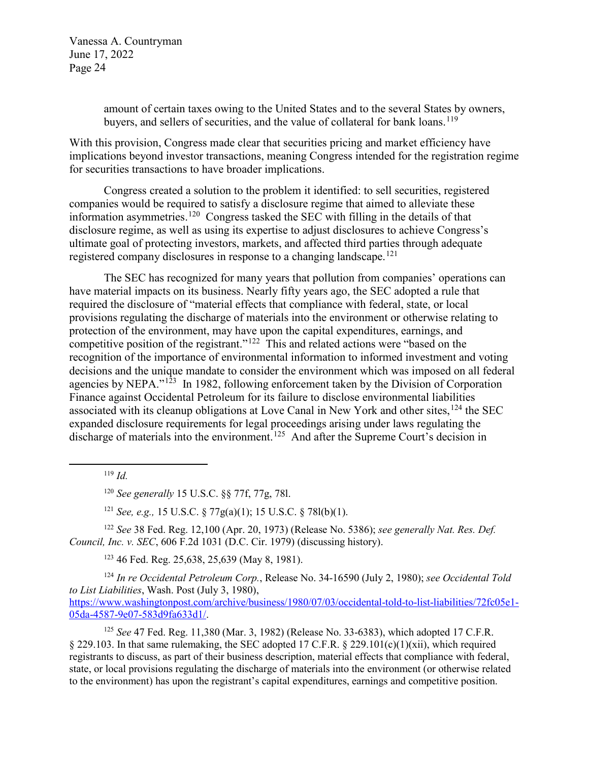> amount of certain taxes owing to the United States and to the several States by owners, buyers, and sellers of securities, and the value of collateral for bank loans.<sup>[119](#page-23-0)</sup>

With this provision, Congress made clear that securities pricing and market efficiency have implications beyond investor transactions, meaning Congress intended for the registration regime for securities transactions to have broader implications.

Congress created a solution to the problem it identified: to sell securities, registered companies would be required to satisfy a disclosure regime that aimed to alleviate these information asymmetries.[120](#page-23-1) Congress tasked the SEC with filling in the details of that disclosure regime, as well as using its expertise to adjust disclosures to achieve Congress's ultimate goal of protecting investors, markets, and affected third parties through adequate registered company disclosures in response to a changing landscape.<sup>121</sup>

The SEC has recognized for many years that pollution from companies' operations can have material impacts on its business. Nearly fifty years ago, the SEC adopted a rule that required the disclosure of "material effects that compliance with federal, state, or local provisions regulating the discharge of materials into the environment or otherwise relating to protection of the environment, may have upon the capital expenditures, earnings, and competitive position of the registrant."<sup>[122](#page-23-3)</sup> This and related actions were "based on the recognition of the importance of environmental information to informed investment and voting decisions and the unique mandate to consider the environment which was imposed on all federal agencies by NEPA."<sup>123</sup> In 1982, following enforcement taken by the Division of Corporation Finance against Occidental Petroleum for its failure to disclose environmental liabilities associated with its cleanup obligations at Love Canal in New York and other sites, <sup>[124](#page-23-5)</sup> the SEC expanded disclosure requirements for legal proceedings arising under laws regulating the discharge of materials into the environment.<sup>125</sup> And after the Supreme Court's decision in

<sup>119</sup> *Id.*

<span id="page-23-1"></span><span id="page-23-0"></span> $\overline{a}$ 

<sup>120</sup> *See generally* 15 U.S.C. §§ 77f, 77g, 78l.

<sup>121</sup> *See, e.g.,* 15 U.S.C. § 77g(a)(1); 15 U.S.C. § 78l(b)(1).

<span id="page-23-3"></span><span id="page-23-2"></span><sup>122</sup> *See* 38 Fed. Reg. 12,100 (Apr. 20, 1973) (Release No. 5386); *see generally Nat. Res. Def. Council, Inc. v. SEC*, 606 F.2d 1031 (D.C. Cir. 1979) (discussing history).

123 46 Fed. Reg. 25,638, 25,639 (May 8, 1981).

<span id="page-23-5"></span><span id="page-23-4"></span><sup>124</sup> *In re Occidental Petroleum Corp.*, Release No. 34-16590 (July 2, 1980); *see Occidental Told to List Liabilities*, Wash. Post (July 3, 1980),

[https://www.washingtonpost.com/archive/business/1980/07/03/occidental-told-to-list-liabilities/72fc05e1-](https://www.washingtonpost.com/archive/business/1980/07/03/occidental-told-to-list-liabilities/72fc05e1-05da-4587-9e07-583d9fa633d1/) [05da-4587-9e07-583d9fa633d1/.](https://www.washingtonpost.com/archive/business/1980/07/03/occidental-told-to-list-liabilities/72fc05e1-05da-4587-9e07-583d9fa633d1/)

<span id="page-23-6"></span><sup>125</sup> *See* 47 Fed. Reg. 11,380 (Mar. 3, 1982) (Release No. 33-6383), which adopted 17 C.F.R. § 229.103. In that same rulemaking, the SEC adopted 17 C.F.R. § 229.101(c)(1)(xii), which required registrants to discuss, as part of their business description, material effects that compliance with federal, state, or local provisions regulating the discharge of materials into the environment (or otherwise related to the environment) has upon the registrant's capital expenditures, earnings and competitive position.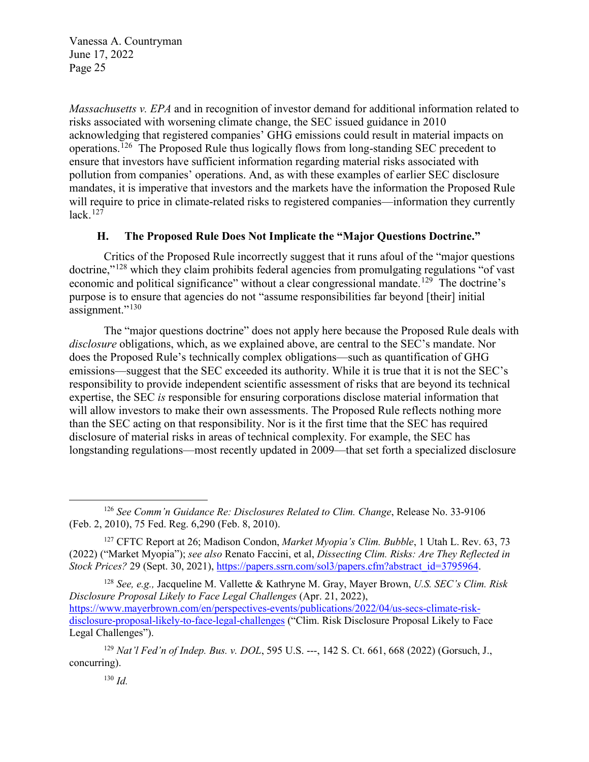*Massachusetts v. EPA* and in recognition of investor demand for additional information related to risks associated with worsening climate change, the SEC issued guidance in 2010 acknowledging that registered companies' GHG emissions could result in material impacts on operations.[126](#page-24-0) The Proposed Rule thus logically flows from long-standing SEC precedent to ensure that investors have sufficient information regarding material risks associated with pollution from companies' operations. And, as with these examples of earlier SEC disclosure mandates, it is imperative that investors and the markets have the information the Proposed Rule will require to price in climate-related risks to registered companies—information they currently  $lack.$ <sup>[127](#page-24-1)</sup>

#### **H. The Proposed Rule Does Not Implicate the "Major Questions Doctrine."**

Critics of the Proposed Rule incorrectly suggest that it runs afoul of the "major questions doctrine,"[128](#page-24-2) which they claim prohibits federal agencies from promulgating regulations "of vast economic and political significance" without a clear congressional mandate.<sup>[129](#page-24-3)</sup> The doctrine's purpose is to ensure that agencies do not "assume responsibilities far beyond [their] initial assignment."<sup>[130](#page-24-4)</sup>

The "major questions doctrine" does not apply here because the Proposed Rule deals with *disclosure* obligations, which, as we explained above, are central to the SEC's mandate. Nor does the Proposed Rule's technically complex obligations—such as quantification of GHG emissions—suggest that the SEC exceeded its authority. While it is true that it is not the SEC's responsibility to provide independent scientific assessment of risks that are beyond its technical expertise, the SEC *is* responsible for ensuring corporations disclose material information that will allow investors to make their own assessments. The Proposed Rule reflects nothing more than the SEC acting on that responsibility. Nor is it the first time that the SEC has required disclosure of material risks in areas of technical complexity. For example, the SEC has longstanding regulations—most recently updated in 2009—that set forth a specialized disclosure

<span id="page-24-2"></span><sup>128</sup> *See, e.g.,* Jacqueline M. Vallette & Kathryne M. Gray, Mayer Brown, *U.S. SEC's Clim. Risk Disclosure Proposal Likely to Face Legal Challenges* (Apr. 21, 2022), [https://www.mayerbrown.com/en/perspectives-events/publications/2022/04/us-secs-climate-risk](https://www.mayerbrown.com/en/perspectives-events/publications/2022/04/us-secs-climate-risk-disclosure-proposal-likely-to-face-legal-challenges)[disclosure-proposal-likely-to-face-legal-challenges](https://www.mayerbrown.com/en/perspectives-events/publications/2022/04/us-secs-climate-risk-disclosure-proposal-likely-to-face-legal-challenges) ("Clim. Risk Disclosure Proposal Likely to Face Legal Challenges").

 $\overline{a}$ 

<span id="page-24-0"></span><sup>126</sup> *See Comm'n Guidance Re: Disclosures Related to Clim. Change*, Release No. 33-9106 (Feb. 2, 2010), 75 Fed. Reg. 6,290 (Feb. 8, 2010).

<span id="page-24-1"></span><sup>127</sup> CFTC Report at 26; Madison Condon, *Market Myopia's Clim. Bubble*, 1 Utah L. Rev. 63, 73 (2022) ("Market Myopia"); *see also* Renato Faccini, et al, *Dissecting Clim. Risks: Are They Reflected in Stock Prices?* 29 (Sept. 30, 2021), [https://papers.ssrn.com/sol3/papers.cfm?abstract\\_id=3795964.](https://papers.ssrn.com/sol3/papers.cfm?abstract_id=3795964)

<span id="page-24-4"></span><span id="page-24-3"></span><sup>129</sup> *Nat'l Fed'n of Indep. Bus. v. DOL*, 595 U.S. ---, 142 S. Ct. 661, 668 (2022) (Gorsuch, J., concurring).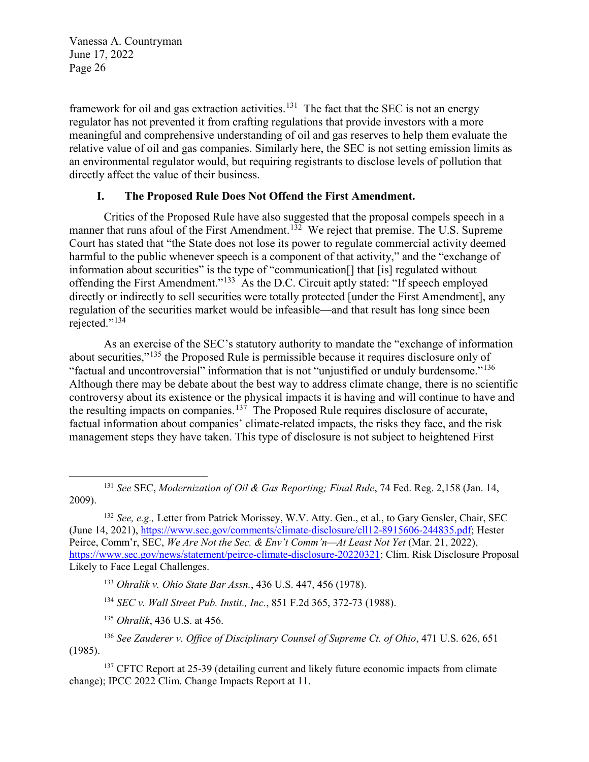framework for oil and gas extraction activities.<sup>131</sup> The fact that the SEC is not an energy regulator has not prevented it from crafting regulations that provide investors with a more meaningful and comprehensive understanding of oil and gas reserves to help them evaluate the relative value of oil and gas companies. Similarly here, the SEC is not setting emission limits as an environmental regulator would, but requiring registrants to disclose levels of pollution that directly affect the value of their business.

#### **I. The Proposed Rule Does Not Offend the First Amendment.**

Critics of the Proposed Rule have also suggested that the proposal compels speech in a manner that runs afoul of the First Amendment.<sup>[132](#page-25-1)</sup> We reject that premise. The U.S. Supreme Court has stated that "the State does not lose its power to regulate commercial activity deemed harmful to the public whenever speech is a component of that activity," and the "exchange of information about securities" is the type of "communication[] that [is] regulated without offending the First Amendment."[133](#page-25-2) As the D.C. Circuit aptly stated: "If speech employed directly or indirectly to sell securities were totally protected [under the First Amendment], any regulation of the securities market would be infeasible—and that result has long since been rejected."<sup>[134](#page-25-3)</sup>

As an exercise of the SEC's statutory authority to mandate the "exchange of information about securities,"<sup>[135](#page-25-4)</sup> the Proposed Rule is permissible because it requires disclosure only of "factual and uncontroversial" information that is not "unjustified or unduly burdensome."[136](#page-25-5)  Although there may be debate about the best way to address climate change, there is no scientific controversy about its existence or the physical impacts it is having and will continue to have and the resulting impacts on companies.<sup>[137](#page-25-6)</sup> The Proposed Rule requires disclosure of accurate, factual information about companies' climate-related impacts, the risks they face, and the risk management steps they have taken. This type of disclosure is not subject to heightened First

<span id="page-25-0"></span> $\overline{a}$ <sup>131</sup> *See* SEC, *Modernization of Oil & Gas Reporting; Final Rule*, 74 Fed. Reg. 2,158 (Jan. 14, 2009).

<span id="page-25-1"></span><sup>132</sup> *See, e.g.,* Letter from Patrick Morissey, W.V. Atty. Gen., et al., to Gary Gensler, Chair, SEC (June 14, 2021), [https://www.sec.gov/comments/climate-disclosure/cll12-8915606-244835.pdf;](https://www.sec.gov/comments/climate-disclosure/cll12-8915606-244835.pdf) Hester Peirce, Comm'r, SEC, *We Are Not the Sec. & Env't Comm'n—At Least Not Yet* (Mar. 21, 2022), [https://www.sec.gov/news/statement/peirce-climate-disclosure-20220321;](https://www.sec.gov/news/statement/peirce-climate-disclosure-20220321) Clim. Risk Disclosure Proposal Likely to Face Legal Challenges.

<sup>133</sup> *Ohralik v. Ohio State Bar Assn.*, 436 U.S. 447, 456 (1978).

<sup>134</sup> *SEC v. Wall Street Pub. Instit., Inc.*, 851 F.2d 365, 372-73 (1988).

<sup>135</sup> *Ohralik*, 436 U.S. at 456.

<span id="page-25-5"></span><span id="page-25-4"></span><span id="page-25-3"></span><span id="page-25-2"></span><sup>136</sup> *See Zauderer v. Office of Disciplinary Counsel of Supreme Ct. of Ohio*, 471 U.S. 626, 651 (1985).

<span id="page-25-6"></span><sup>&</sup>lt;sup>137</sup> CFTC Report at 25-39 (detailing current and likely future economic impacts from climate change); IPCC 2022 Clim. Change Impacts Report at 11.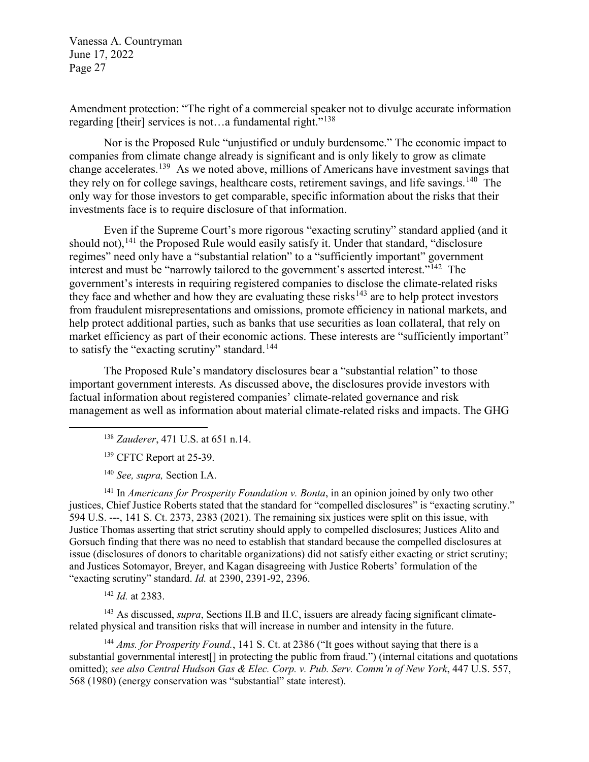Amendment protection: "The right of a commercial speaker not to divulge accurate information regarding [their] services is not...a fundamental right."<sup>138</sup>

Nor is the Proposed Rule "unjustified or unduly burdensome." The economic impact to companies from climate change already is significant and is only likely to grow as climate change accelerates.<sup>[139](#page-26-1)</sup> As we noted above, millions of Americans have investment savings that they rely on for college savings, healthcare costs, retirement savings, and life savings.<sup>140</sup> The only way for those investors to get comparable, specific information about the risks that their investments face is to require disclosure of that information.

Even if the Supreme Court's more rigorous "exacting scrutiny" standard applied (and it should not),  $141$  the Proposed Rule would easily satisfy it. Under that standard, "disclosure regimes" need only have a "substantial relation" to a "sufficiently important" government interest and must be "narrowly tailored to the government's asserted interest."<sup>142</sup> The government's interests in requiring registered companies to disclose the climate-related risks they face and whether and how they are evaluating these risks<sup>[143](#page-26-5)</sup> are to help protect investors from fraudulent misrepresentations and omissions, promote efficiency in national markets, and help protect additional parties, such as banks that use securities as loan collateral, that rely on market efficiency as part of their economic actions. These interests are "sufficiently important" to satisfy the "exacting scrutiny" standard.<sup>144</sup>

The Proposed Rule's mandatory disclosures bear a "substantial relation" to those important government interests. As discussed above, the disclosures provide investors with factual information about registered companies' climate-related governance and risk management as well as information about material climate-related risks and impacts. The GHG

<sup>138</sup> *Zauderer*, 471 U.S. at 651 n.14.

<sup>139</sup> CFTC Report at 25-39.

<span id="page-26-1"></span><span id="page-26-0"></span> $\overline{a}$ 

<sup>140</sup> *See, supra,* Section I.A.

<span id="page-26-3"></span><span id="page-26-2"></span><sup>141</sup> In *Americans for Prosperity Foundation v. Bonta*, in an opinion joined by only two other justices, Chief Justice Roberts stated that the standard for "compelled disclosures" is "exacting scrutiny." 594 U.S. ---, 141 S. Ct. 2373, 2383 (2021). The remaining six justices were split on this issue, with Justice Thomas asserting that strict scrutiny should apply to compelled disclosures; Justices Alito and Gorsuch finding that there was no need to establish that standard because the compelled disclosures at issue (disclosures of donors to charitable organizations) did not satisfy either exacting or strict scrutiny; and Justices Sotomayor, Breyer, and Kagan disagreeing with Justice Roberts' formulation of the "exacting scrutiny" standard. *Id.* at 2390, 2391-92, 2396.

<sup>142</sup> *Id.* at 2383.

<span id="page-26-5"></span><span id="page-26-4"></span><sup>143</sup> As discussed, *supra*, Sections II.B and II.C, issuers are already facing significant climaterelated physical and transition risks that will increase in number and intensity in the future.

<span id="page-26-6"></span><sup>144</sup> *Ams. for Prosperity Found.*, 141 S. Ct. at 2386 ("It goes without saying that there is a substantial governmental interest[] in protecting the public from fraud.") (internal citations and quotations omitted); *see also Central Hudson Gas & Elec. Corp. v. Pub. Serv. Comm'n of New York*, 447 U.S. 557, 568 (1980) (energy conservation was "substantial" state interest).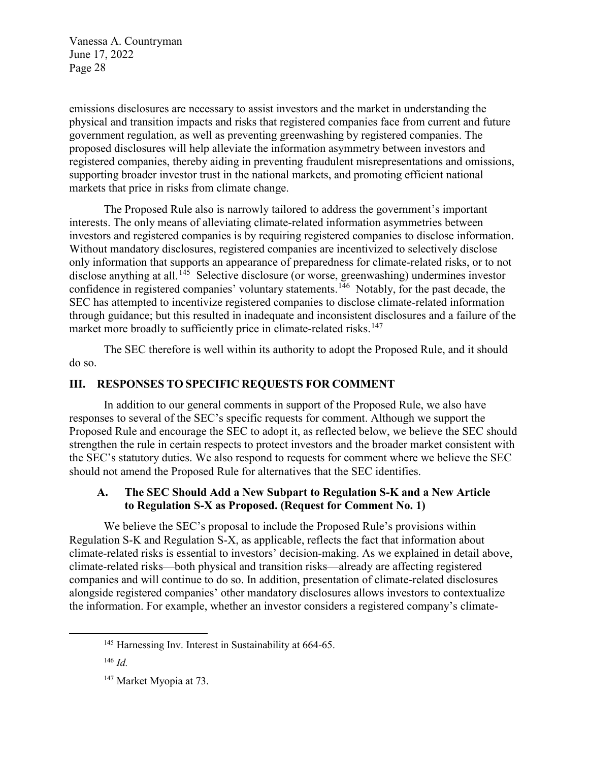emissions disclosures are necessary to assist investors and the market in understanding the physical and transition impacts and risks that registered companies face from current and future government regulation, as well as preventing greenwashing by registered companies. The proposed disclosures will help alleviate the information asymmetry between investors and registered companies, thereby aiding in preventing fraudulent misrepresentations and omissions, supporting broader investor trust in the national markets, and promoting efficient national markets that price in risks from climate change.

The Proposed Rule also is narrowly tailored to address the government's important interests. The only means of alleviating climate-related information asymmetries between investors and registered companies is by requiring registered companies to disclose information. Without mandatory disclosures, registered companies are incentivized to selectively disclose only information that supports an appearance of preparedness for climate-related risks, or to not disclose anything at all.<sup>[145](#page-27-0)</sup> Selective disclosure (or worse, greenwashing) undermines investor confidence in registered companies' voluntary statements.<sup>146</sup> Notably, for the past decade, the SEC has attempted to incentivize registered companies to disclose climate-related information through guidance; but this resulted in inadequate and inconsistent disclosures and a failure of the market more broadly to sufficiently price in climate-related risks.<sup>[147](#page-27-2)</sup>

The SEC therefore is well within its authority to adopt the Proposed Rule, and it should do so.

## **III. RESPONSES TO SPECIFIC REQUESTS FOR COMMENT**

In addition to our general comments in support of the Proposed Rule, we also have responses to several of the SEC's specific requests for comment. Although we support the Proposed Rule and encourage the SEC to adopt it, as reflected below, we believe the SEC should strengthen the rule in certain respects to protect investors and the broader market consistent with the SEC's statutory duties. We also respond to requests for comment where we believe the SEC should not amend the Proposed Rule for alternatives that the SEC identifies.

## **A. The SEC Should Add a New Subpart to Regulation S-K and a New Article to Regulation S-X as Proposed. (Request for Comment No. 1)**

We believe the SEC's proposal to include the Proposed Rule's provisions within Regulation S-K and Regulation S-X, as applicable, reflects the fact that information about climate-related risks is essential to investors' decision-making. As we explained in detail above, climate-related risks—both physical and transition risks—already are affecting registered companies and will continue to do so. In addition, presentation of climate-related disclosures alongside registered companies' other mandatory disclosures allows investors to contextualize the information. For example, whether an investor considers a registered company's climate-

<span id="page-27-2"></span><span id="page-27-1"></span><span id="page-27-0"></span> $\overline{a}$ 

<sup>&</sup>lt;sup>145</sup> Harnessing Inv. Interest in Sustainability at 664-65.

<sup>146</sup> *Id.*

<sup>&</sup>lt;sup>147</sup> Market Myopia at 73.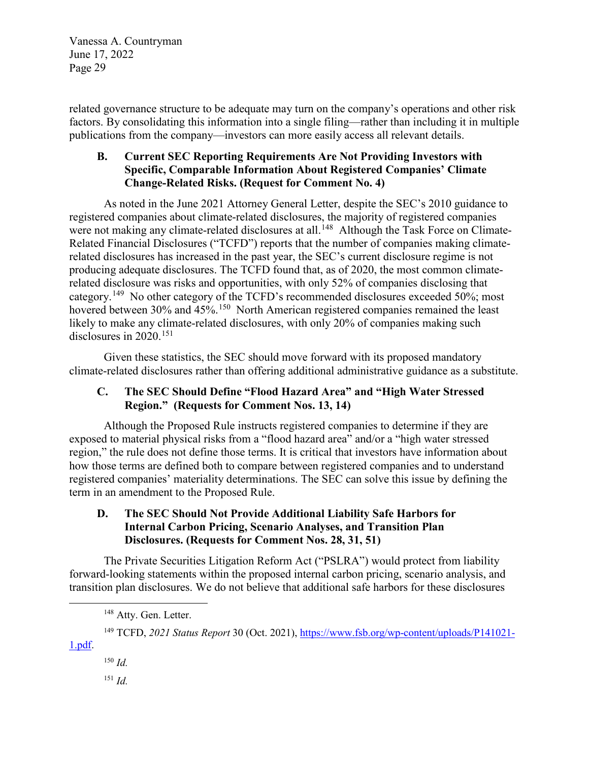related governance structure to be adequate may turn on the company's operations and other risk factors. By consolidating this information into a single filing—rather than including it in multiple publications from the company—investors can more easily access all relevant details.

# **B. Current SEC Reporting Requirements Are Not Providing Investors with Specific, Comparable Information About Registered Companies' Climate Change-Related Risks. (Request for Comment No. 4)**

As noted in the June 2021 Attorney General Letter, despite the SEC's 2010 guidance to registered companies about climate-related disclosures, the majority of registered companies were not making any climate-related disclosures at all.<sup>148</sup> Although the Task Force on Climate-Related Financial Disclosures ("TCFD") reports that the number of companies making climaterelated disclosures has increased in the past year, the SEC's current disclosure regime is not producing adequate disclosures. The TCFD found that, as of 2020, the most common climaterelated disclosure was risks and opportunities, with only 52% of companies disclosing that category.[149](#page-28-1) No other category of the TCFD's recommended disclosures exceeded 50%; most hovered between 30% and 45%.<sup>150</sup> North American registered companies remained the least likely to make any climate-related disclosures, with only 20% of companies making such disclosures in  $2020$ <sup>[151](#page-28-3)</sup>

Given these statistics, the SEC should move forward with its proposed mandatory climate-related disclosures rather than offering additional administrative guidance as a substitute.

# **C. The SEC Should Define "Flood Hazard Area" and "High Water Stressed Region." (Requests for Comment Nos. 13, 14)**

Although the Proposed Rule instructs registered companies to determine if they are exposed to material physical risks from a "flood hazard area" and/or a "high water stressed region," the rule does not define those terms. It is critical that investors have information about how those terms are defined both to compare between registered companies and to understand registered companies' materiality determinations. The SEC can solve this issue by defining the term in an amendment to the Proposed Rule.

## **D. The SEC Should Not Provide Additional Liability Safe Harbors for Internal Carbon Pricing, Scenario Analyses, and Transition Plan Disclosures. (Requests for Comment Nos. 28, 31, 51)**

The Private Securities Litigation Reform Act ("PSLRA") would protect from liability forward-looking statements within the proposed internal carbon pricing, scenario analysis, and transition plan disclosures. We do not believe that additional safe harbors for these disclosures

<span id="page-28-3"></span><span id="page-28-2"></span><span id="page-28-1"></span>[1.pdf.](https://www.fsb.org/wp-content/uploads/P141021-1.pdf)

<span id="page-28-0"></span> $\overline{a}$ 

<sup>150</sup> *Id.* <sup>151</sup> *Id.*

<sup>&</sup>lt;sup>148</sup> Atty. Gen. Letter.

<sup>&</sup>lt;sup>149</sup> TCFD, 2021 Status Report 30 (Oct. 2021), [https://www.fsb.org/wp-content/uploads/P141021-](https://www.fsb.org/wp-content/uploads/P141021-1.pdf)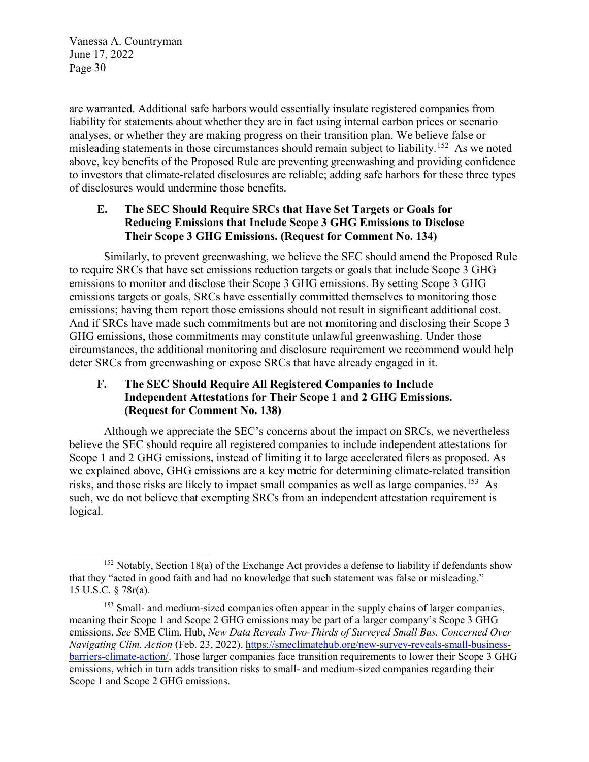$\overline{a}$ 

are warranted. Additional safe harbors would essentially insulate registered companies from liability for statements about whether they are in fact using internal carbon prices or scenario analyses, or whether they are making progress on their transition plan. We believe false or misleading statements in those circumstances should remain subject to liability.<sup>152</sup> As we noted above, key benefits of the Proposed Rule are preventing greenwashing and providing confidence to investors that climate-related disclosures are reliable; adding safe harbors for these three types of disclosures would undermine those benefits.

## **E. The SEC Should Require SRCs that Have Set Targets or Goals for Reducing Emissions that Include Scope 3 GHG Emissions to Disclose Their Scope 3 GHG Emissions. (Request for Comment No. 134)**

Similarly, to prevent greenwashing, we believe the SEC should amend the Proposed Rule to require SRCs that have set emissions reduction targets or goals that include Scope 3 GHG emissions to monitor and disclose their Scope 3 GHG emissions. By setting Scope 3 GHG emissions targets or goals, SRCs have essentially committed themselves to monitoring those emissions; having them report those emissions should not result in significant additional cost. And if SRCs have made such commitments but are not monitoring and disclosing their Scope 3 GHG emissions, those commitments may constitute unlawful greenwashing. Under those circumstances, the additional monitoring and disclosure requirement we recommend would help deter SRCs from greenwashing or expose SRCs that have already engaged in it.

## **F. The SEC Should Require All Registered Companies to Include Independent Attestations for Their Scope 1 and 2 GHG Emissions. (Request for Comment No. 138)**

Although we appreciate the SEC's concerns about the impact on SRCs, we nevertheless believe the SEC should require all registered companies to include independent attestations for Scope 1 and 2 GHG emissions, instead of limiting it to large accelerated filers as proposed. As we explained above, GHG emissions are a key metric for determining climate-related transition risks, and those risks are likely to impact small companies as well as large companies.[153](#page-29-1) As such, we do not believe that exempting SRCs from an independent attestation requirement is logical.

<span id="page-29-0"></span><sup>&</sup>lt;sup>152</sup> Notably, Section 18(a) of the Exchange Act provides a defense to liability if defendants show that they "acted in good faith and had no knowledge that such statement was false or misleading." 15 U.S.C. § 78r(a).

<span id="page-29-1"></span><sup>&</sup>lt;sup>153</sup> Small- and medium-sized companies often appear in the supply chains of larger companies, meaning their Scope 1 and Scope 2 GHG emissions may be part of a larger company's Scope 3 GHG emissions. *See* SME Clim. Hub, *New Data Reveals Two-Thirds of Surveyed Small Bus. Concerned Over Navigating Clim. Action* (Feb. 23, 2022), [https://smeclimatehub.org/new-survey-reveals-small-business](https://smeclimatehub.org/new-survey-reveals-small-business-barriers-climate-action/)[barriers-climate-action/.](https://smeclimatehub.org/new-survey-reveals-small-business-barriers-climate-action/) Those larger companies face transition requirements to lower their Scope 3 GHG emissions, which in turn adds transition risks to small- and medium-sized companies regarding their Scope 1 and Scope 2 GHG emissions.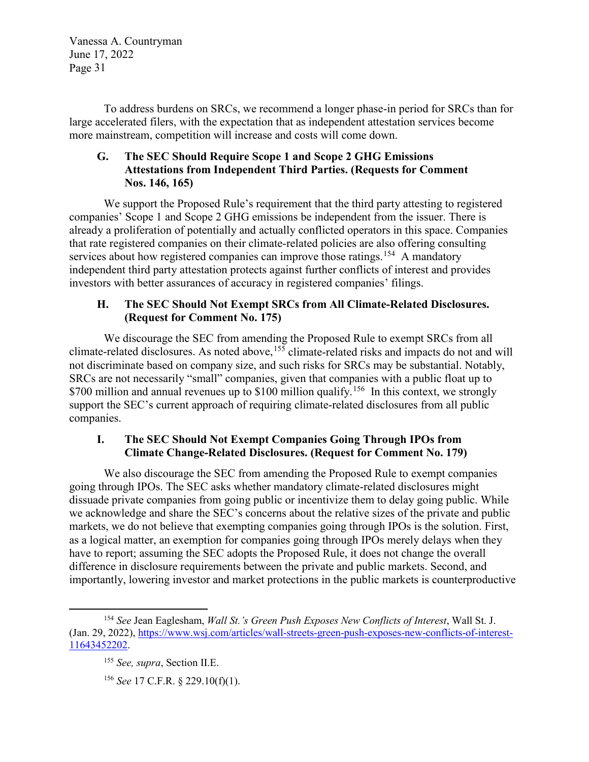To address burdens on SRCs, we recommend a longer phase-in period for SRCs than for large accelerated filers, with the expectation that as independent attestation services become more mainstream, competition will increase and costs will come down.

## **G. The SEC Should Require Scope 1 and Scope 2 GHG Emissions Attestations from Independent Third Parties. (Requests for Comment Nos. 146, 165)**

We support the Proposed Rule's requirement that the third party attesting to registered companies' Scope 1 and Scope 2 GHG emissions be independent from the issuer. There is already a proliferation of potentially and actually conflicted operators in this space. Companies that rate registered companies on their climate-related policies are also offering consulting services about how registered companies can improve those ratings.<sup>[154](#page-30-0)</sup> A mandatory independent third party attestation protects against further conflicts of interest and provides investors with better assurances of accuracy in registered companies' filings.

# **H. The SEC Should Not Exempt SRCs from All Climate-Related Disclosures. (Request for Comment No. 175)**

We discourage the SEC from amending the Proposed Rule to exempt SRCs from all climate-related disclosures. As noted above,[155](#page-30-1) climate-related risks and impacts do not and will not discriminate based on company size, and such risks for SRCs may be substantial. Notably, SRCs are not necessarily "small" companies, given that companies with a public float up to \$700 million and annual revenues up to \$100 million qualify.<sup>[156](#page-30-2)</sup> In this context, we strongly support the SEC's current approach of requiring climate-related disclosures from all public companies.

# **I. The SEC Should Not Exempt Companies Going Through IPOs from Climate Change-Related Disclosures. (Request for Comment No. 179)**

We also discourage the SEC from amending the Proposed Rule to exempt companies going through IPOs. The SEC asks whether mandatory climate-related disclosures might dissuade private companies from going public or incentivize them to delay going public. While we acknowledge and share the SEC's concerns about the relative sizes of the private and public markets, we do not believe that exempting companies going through IPOs is the solution. First, as a logical matter, an exemption for companies going through IPOs merely delays when they have to report; assuming the SEC adopts the Proposed Rule, it does not change the overall difference in disclosure requirements between the private and public markets. Second, and importantly, lowering investor and market protections in the public markets is counterproductive

 $\overline{a}$ 

<span id="page-30-2"></span><span id="page-30-1"></span><span id="page-30-0"></span><sup>154</sup> *See* Jean Eaglesham, *Wall St.'s Green Push Exposes New Conflicts of Interest*, Wall St. J. (Jan. 29, 2022), [https://www.wsj.com/articles/wall-streets-green-push-exposes-new-conflicts-of-interest-](https://www.wsj.com/articles/wall-streets-green-push-exposes-new-conflicts-of-interest-11643452202)[11643452202.](https://www.wsj.com/articles/wall-streets-green-push-exposes-new-conflicts-of-interest-11643452202)

<sup>155</sup> *See, supra*, Section II.E.

<sup>156</sup> *See* 17 C.F.R. § 229.10(f)(1).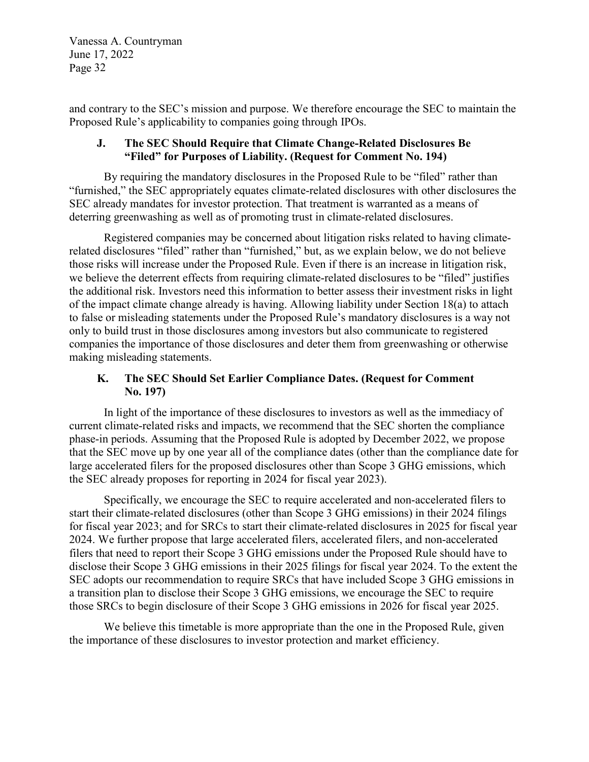and contrary to the SEC's mission and purpose. We therefore encourage the SEC to maintain the Proposed Rule's applicability to companies going through IPOs.

#### **J. The SEC Should Require that Climate Change-Related Disclosures Be "Filed" for Purposes of Liability. (Request for Comment No. 194)**

By requiring the mandatory disclosures in the Proposed Rule to be "filed" rather than "furnished," the SEC appropriately equates climate-related disclosures with other disclosures the SEC already mandates for investor protection. That treatment is warranted as a means of deterring greenwashing as well as of promoting trust in climate-related disclosures.

Registered companies may be concerned about litigation risks related to having climaterelated disclosures "filed" rather than "furnished," but, as we explain below, we do not believe those risks will increase under the Proposed Rule. Even if there is an increase in litigation risk, we believe the deterrent effects from requiring climate-related disclosures to be "filed" justifies the additional risk. Investors need this information to better assess their investment risks in light of the impact climate change already is having. Allowing liability under Section 18(a) to attach to false or misleading statements under the Proposed Rule's mandatory disclosures is a way not only to build trust in those disclosures among investors but also communicate to registered companies the importance of those disclosures and deter them from greenwashing or otherwise making misleading statements.

## **K. The SEC Should Set Earlier Compliance Dates. (Request for Comment No. 197)**

In light of the importance of these disclosures to investors as well as the immediacy of current climate-related risks and impacts, we recommend that the SEC shorten the compliance phase-in periods. Assuming that the Proposed Rule is adopted by December 2022, we propose that the SEC move up by one year all of the compliance dates (other than the compliance date for large accelerated filers for the proposed disclosures other than Scope 3 GHG emissions, which the SEC already proposes for reporting in 2024 for fiscal year 2023).

Specifically, we encourage the SEC to require accelerated and non-accelerated filers to start their climate-related disclosures (other than Scope 3 GHG emissions) in their 2024 filings for fiscal year 2023; and for SRCs to start their climate-related disclosures in 2025 for fiscal year 2024. We further propose that large accelerated filers, accelerated filers, and non-accelerated filers that need to report their Scope 3 GHG emissions under the Proposed Rule should have to disclose their Scope 3 GHG emissions in their 2025 filings for fiscal year 2024. To the extent the SEC adopts our recommendation to require SRCs that have included Scope 3 GHG emissions in a transition plan to disclose their Scope 3 GHG emissions, we encourage the SEC to require those SRCs to begin disclosure of their Scope 3 GHG emissions in 2026 for fiscal year 2025.

We believe this timetable is more appropriate than the one in the Proposed Rule, given the importance of these disclosures to investor protection and market efficiency.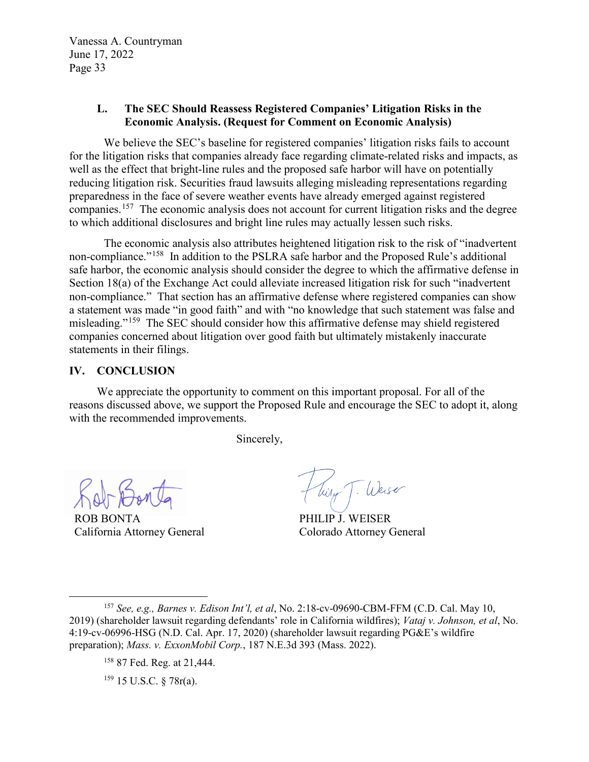#### **L. The SEC Should Reassess Registered Companies' Litigation Risks in the Economic Analysis. (Request for Comment on Economic Analysis)**

We believe the SEC's baseline for registered companies' litigation risks fails to account for the litigation risks that companies already face regarding climate-related risks and impacts, as well as the effect that bright-line rules and the proposed safe harbor will have on potentially reducing litigation risk. Securities fraud lawsuits alleging misleading representations regarding preparedness in the face of severe weather events have already emerged against registered companies.[157](#page-32-0) The economic analysis does not account for current litigation risks and the degree to which additional disclosures and bright line rules may actually lessen such risks.

The economic analysis also attributes heightened litigation risk to the risk of "inadvertent non-compliance."<sup>[158](#page-32-1)</sup> In addition to the PSLRA safe harbor and the Proposed Rule's additional safe harbor, the economic analysis should consider the degree to which the affirmative defense in Section 18(a) of the Exchange Act could alleviate increased litigation risk for such "inadvertent non-compliance." That section has an affirmative defense where registered companies can show a statement was made "in good faith" and with "no knowledge that such statement was false and misleading."[159](#page-32-2) The SEC should consider how this affirmative defense may shield registered companies concerned about litigation over good faith but ultimately mistakenly inaccurate statements in their filings.

#### **IV. CONCLUSION**

We appreciate the opportunity to comment on this important proposal. For all of the reasons discussed above, we support the Proposed Rule and encourage the SEC to adopt it, along with the recommended improvements.

Sincerely,

 $\overline{a}$ 

ROB BONTA California Attorney General

Tiry T. Weiser

PHILIP J. WEISER Colorado Attorney General

<span id="page-32-2"></span><span id="page-32-1"></span><span id="page-32-0"></span><sup>157</sup> *See, e.g., Barnes v. Edison Int'l, et al*, No. 2:18-cv-09690-CBM-FFM (C.D. Cal. May 10, 2019) (shareholder lawsuit regarding defendants' role in California wildfires); *Vataj v. Johnson, et al*, No. 4:19-cv-06996-HSG (N.D. Cal. Apr. 17, 2020) (shareholder lawsuit regarding PG&E's wildfire preparation); *Mass. v. ExxonMobil Corp.*, 187 N.E.3d 393 (Mass. 2022).

<sup>158</sup> 87 Fed. Reg. at 21,444.

<sup>159</sup> 15 U.S.C. § 78r(a).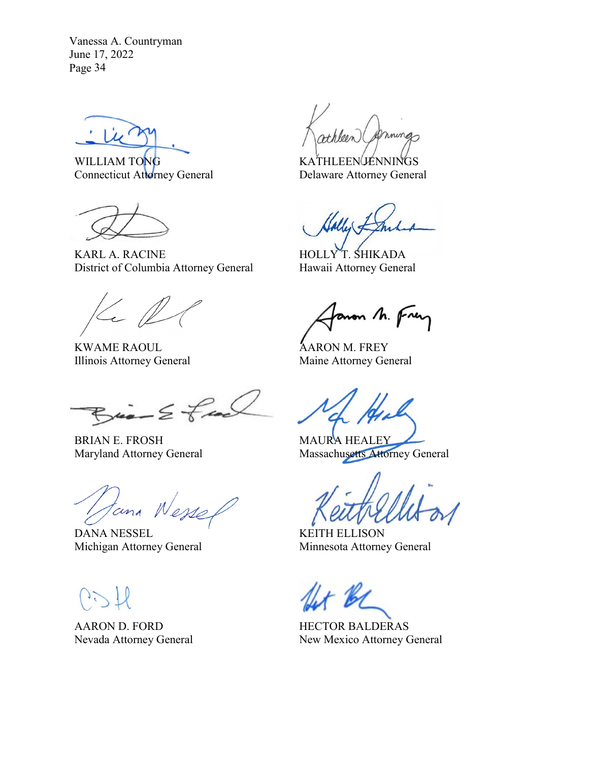WILLIAM TONG Connecticut Attorney General

KARL A. RACINE District of Columbia Attorney General

 $\leftarrow \mathbb{Z}$ 

KWAME RAOUL Illinois Attorney General

 $Bia-2fa$ 

BRIAN E. FROSH Maryland Attorney General

tana Wesse

DANA NESSEL Michigan Attorney General

AARON D. FORD Nevada Attorney General

mings

KATHLEEN JENNINGS Delaware Attorney General

HOLLY T. SHIKADA Hawaii Attorney General

anon M. Frey

AARON M. FREY Maine Attorney General

MAURA HEALEY Massachusetts Attorney General

KEITH ELLISON Minnesota Attorney General

HECTOR BALDERAS New Mexico Attorney General